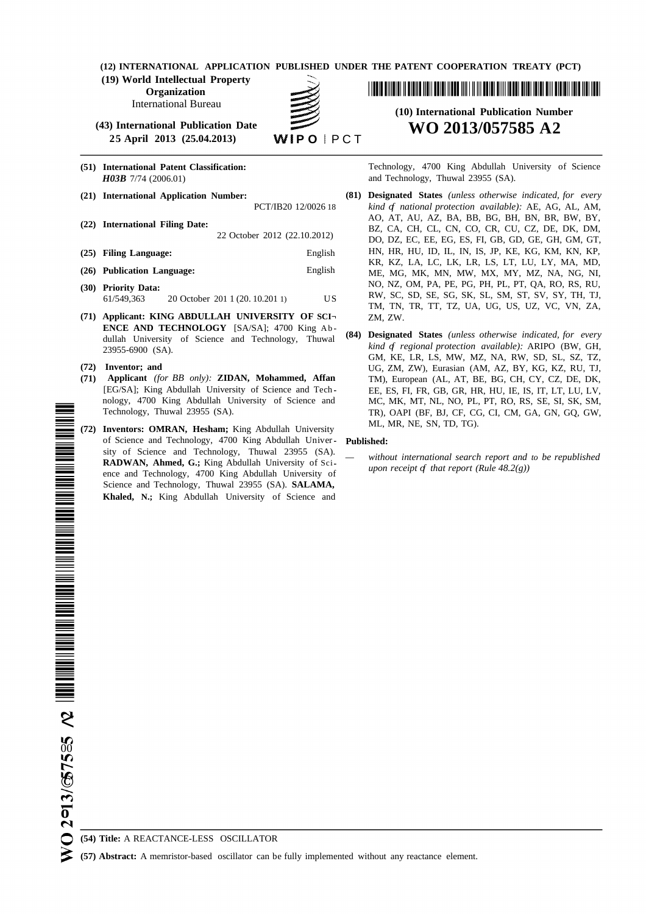**(12) INTERNATIONAL APPLICATION PUBLISHED UNDER THE PATENT COOPERATION TREATY (PCT)**

**(19) World Intellectual Property Organization**

International Bureau



**(43) International Publication Date WO 2013/057585 A2 25 April 2013 (25.04.2013)** 

| (51) International Patent Classification: |
|-------------------------------------------|
| <b>H03B</b> $7/74$ (2006.01)              |
| (21) International Application Number:    |

- 
- 
- 
- 61/549,363 20 October 201 1 (20. 10.201 1) US
- **(71) Applicant: KING ABDULLAH UNIVERSITY OF SCI¬** ZM, ZW. **ENCE AND TECHNOLOGY** [SA/SA]; 4700 King Ab dullah University of Science and Technology, Thuwal **(84) Designated States** *(unless otherwise indicated, for every*

- **(71) Applicant** *(for BB only):* **ZIDAN, Mohammed, Affan** TM), European (AL, AT, BE, BG, CH, CY, CZ, DE, DK,
- ML, MR, NE, SN, TD, TG). **(72) Inventors: OMRAN, Hesham;** King Abdullah University of Science and Technology, 4700 King Abdullah Univer **Published:** sity of Science and Technology, Thuwal 23955 (SA).<br> **RADWAN, Ahmed, G.;** King Abdullah University of Sci-<br>
without international search report and to be republished<br> **RADWAN, Ahmed, G.;** King Abdullah University of Science and Technology, 4700 King Abdullah University of Science and Technology, Thuwal 23955 (SA). **SALAMA, Khaled, N.;** King Abdullah University of Science and

<u> I III A BINDIN NGCUN NGCUNA NGCUNA NGCUNA NGCUNA NGCUNA NGCUNA NGCUNA NGCUNA NGCUNA NGCUNA NGCUNA NGC</u>

# **(10) International Publication Number**

**(51) International Patent Classification:** Technology, 4700 King Abdullah University of Science and Technology, Thuwal 23955 (SA).

- **(21) International Application Number: (81) Designated States** *(unless otherwise indicated, for every* PCT/IB20 12/0026 18 *kind of national protection available):* AE, AG, AL, AM, AO, AT, AU, AZ, BA, BB, BG, BH, BN, BR, BW, BY, (22) **International Filing Date:** BZ, A1, AU, A1, AU, A2, BA, BB, BU, BH, BK, BW, BH, BW, BH, BK, BW, BH, BW, BH, BW, BH, BW, BH, BW, BH, BW, BM, BW, BM, BW, BM, BW, BM, BW, BM, BW, BM, BW, BM, BW, BM, BW, BM, BW, BM, BW, DO, DZ, EC, EE, EG, ES, FI, GB, GD, GE, GH, GM, GT, **(25) Filing Language:** English HN, HR, HU, ID, IL, IN, IS, JP, KE, KG, KM, KN, KP, KR, KZ, LA, LC, LK, LR, LS, LT, LU, LY, MA, MD, **(26) Publication Language:** English ME, MG, MK, MN, MW, MX, MY, MZ, NA, NG, NI, **(30) Priority Data:** NO, NZ, OM, PA, PE, PG, PH, PL, PT, QA, RO, RS, RU, RW, SC, SD, SE, SG, SK, SL, SM, ST, SV, SY, TH, TJ, TM, TN, TR, TT, TZ, UA, UG, US, UZ, VC, VN, ZA,
- 23955-6900 (SA). *kind of regional protection available):* ARIPO (BW, GH, GM, KE, LR, LS, MW, MZ, NA, RW, SD, SL, SZ, TZ, **(72) Inventor; and** UG, ZM, ZW), Eurasian (AM, AZ, BY, KG, KZ, RU, TJ, [EG/SA]; King Abdullah University of Science and Tech EE, ES, FI, FR, GB, GR, HR, HU, IE, IS, IT, LT, LU, LV, nology, 4700 King Abdullah University of Science and MC, MK, MT, NL, NO, PL, PT, RO, RS, SE, SI, SK, SM, nology, 4700 King Abdullah University of Science and MC, MK, MT, NL, NO, PL, PT, RO, RS, SE, SI, SK, SM, Technology, Thuwal 23955 (SA).<br>TR), OAPI (BF, BJ, CF, CG, CI, CM, GA, GN, GO, GW, TR), OAPI (BF, BJ, CF, CG, CI, CM, GA, GN, GQ, GW,

*upon receipt of that report* (*Rule*  $48.2(g)$ )

**(54) Title:** A REACTANCE-LESS OSCILLATOR

**(57) Abstract:** A memristor-based oscillator can be fully implemented without any reactance element.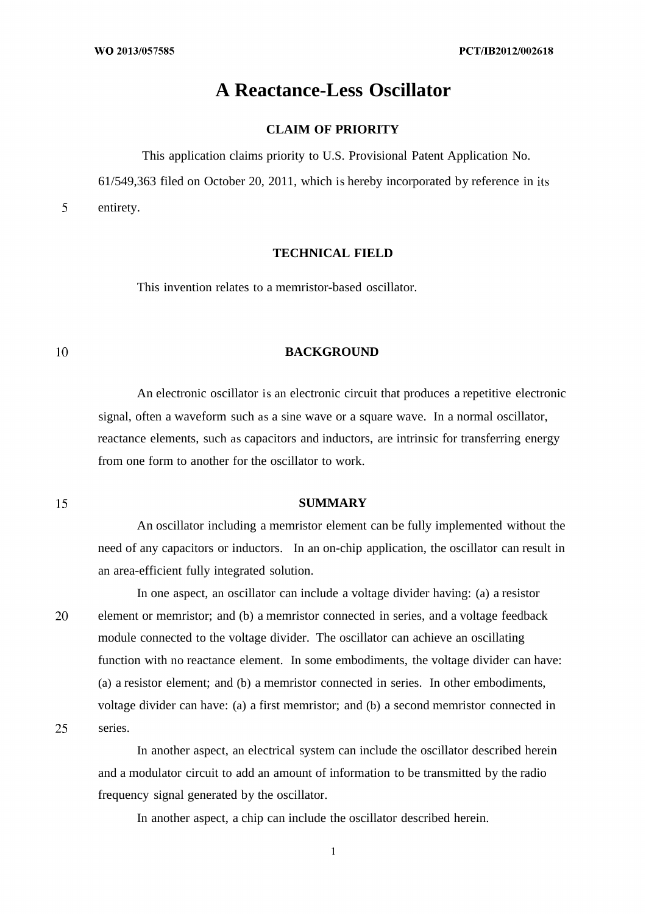## **A Reactance-Less Oscillator**

### **CLAIM OF PRIORITY**

This application claims priority to U.S. Provisional Patent Application No.

61/549,363 filed on October 20, 2011, which is hereby incorporated by reference in entirety.

**TECHNICAL FIELD**

This invention relates to a memristor-based oscillator.

### **BACKGROUND**

An electronic oscillator is an electronic circuit that produces a repetitive electronic signal, often a waveform such as a sine wave or a square wave. In a normal oscillator, reactance elements, such as capacitors and inductors, are intrinsic for transferring energy from one form to another for the oscillator to work.

15

 $10<sup>10</sup>$ 

5

#### **SUMMARY**

An oscillator including a memristor element can be fully implemented without the need of any capacitors or inductors. In an on-chip application, the oscillator can result in an area-efficient fully integrated solution.

In one aspect, an oscillator can include a voltage divider having: (a) a resistor 20 element or memristor; and (b) a memristor connected in series, and a voltage feedback module connected to the voltage divider. The oscillator can achieve an oscillating function with no reactance element. In some embodiments, the voltage divider can have: (a) a resistor element; and (b) a memristor connected in series. In other embodiments, voltage divider can have: (a) a first memristor; and (b) a second memristor connected in series.

25

In another aspect, an electrical system can include the oscillator described herein and a modulator circuit to add an amount of information to be transmitted by the radio frequency signal generated by the oscillator.

In another aspect, a chip can include the oscillator described herein.

 $\mathbf{1}$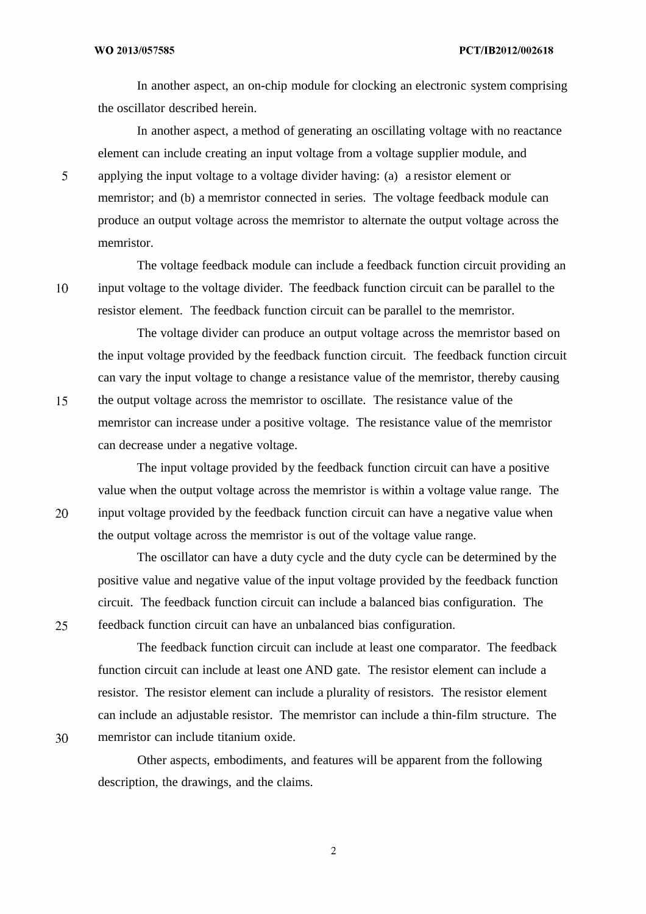In another aspect, an on-chip module for clocking an electronic system comprising the oscillator described herein.

In another aspect, a method of generating an oscillating voltage with no reactance element can include creating an input voltage from a voltage supplier module, and applying the input voltage to a voltage divider having: (a) a resistor element or memristor; and (b) a memristor connected in series. The voltage feedback module can produce an output voltage across the memristor to alternate the output voltage across the memristor.

10

15

 $\overline{5}$ 

The voltage feedback module can include a feedback function circuit providing an input voltage to the voltage divider. The feedback function circuit can be parallel to the resistor element. The feedback function circuit can be parallel to the memristor.

The voltage divider can produce an output voltage across the memristor based on the input voltage provided by the feedback function circuit. The feedback function circuit can vary the input voltage to change a resistance value of the memristor, thereby causing the output voltage across the memristor to oscillate. The resistance value of the memristor can increase under a positive voltage. The resistance value of the memristor can decrease under a negative voltage.

The input voltage provided by the feedback function circuit can have a positive value when the output voltage across the memristor is within a voltage value range. The input voltage provided by the feedback function circuit can have a negative value when the output voltage across the memristor is out of the voltage value range.

The oscillator can have a duty cycle and the duty cycle can be determined by the positive value and negative value of the input voltage provided by the feedback function circuit. The feedback function circuit can include a balanced bias configuration. The feedback function circuit can have an unbalanced bias configuration.

The feedback function circuit can include at least one comparator. The feedback function circuit can include at least one AND gate. The resistor element can include a resistor. The resistor element can include a plurality of resistors. The resistor element can include an adjustable resistor. The memristor can include a thin-film structure. The memristor can include titanium oxide.

Other aspects, embodiments, and features will be apparent from the following description, the drawings, and the claims.

20

25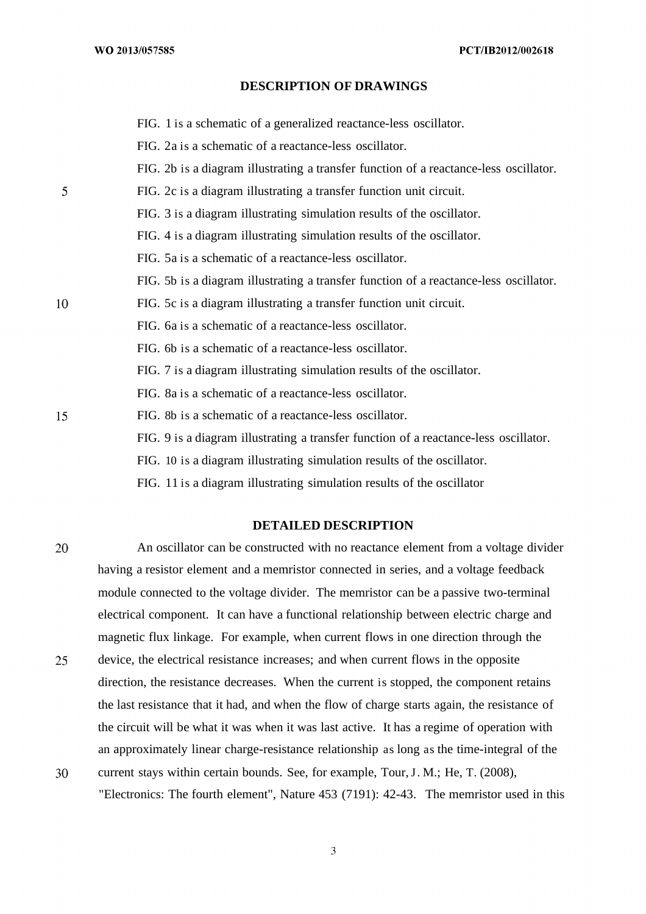#### **DESCRIPTION OF DRAWINGS**

|    | FIG. 1 is a schematic of a generalized reactance-less oscillator.                     |
|----|---------------------------------------------------------------------------------------|
|    | FIG. 2a is a schematic of a reactance-less oscillator.                                |
|    | FIG. 2b is a diagram illustrating a transfer function of a reactance-less oscillator. |
| 5  | FIG. 2c is a diagram illustrating a transfer function unit circuit.                   |
|    | FIG. 3 is a diagram illustrating simulation results of the oscillator.                |
|    | FIG. 4 is a diagram illustrating simulation results of the oscillator.                |
|    | FIG. 5a is a schematic of a reactance-less oscillator.                                |
|    | FIG. 5b is a diagram illustrating a transfer function of a reactance-less oscillator. |
| 10 | FIG. 5c is a diagram illustrating a transfer function unit circuit.                   |
|    | FIG. 6a is a schematic of a reactance-less oscillator.                                |
|    | FIG. 6b is a schematic of a reactance-less oscillator.                                |
|    | FIG. 7 is a diagram illustrating simulation results of the oscillator.                |
|    | FIG. 8a is a schematic of a reactance-less oscillator.                                |
| 15 | FIG. 8b is a schematic of a reactance-less oscillator.                                |
|    | FIG. 9 is a diagram illustrating a transfer function of a reactance-less oscillator.  |
|    | FIG. 10 is a diagram illustrating simulation results of the oscillator.               |
|    |                                                                                       |

FIG. 11 is a diagram illustrating simulation results of the oscillator

### **DETAILED DESCRIPTION**

20 An oscillator can be constructed with no reactance element from a voltage divider having a resistor element and a memristor connected in series, and a voltage feedback module connected to the voltage divider. The memristor can be a passive two-terminal electrical component. It can have a functional relationship between electric charge and magnetic flux linkage. For example, when current flows in one direction through the 25 device, the electrical resistance increases; and when current flows in the opposite direction, the resistance decreases. When the current is stopped, the component retains the last resistance that it had, and when the flow of charge starts again, the resistance of the circuit will be what it was when it was last active. It has a regime of operation with an approximately linear charge-resistance relationship as long as the time-integral of the 30 current stays within certain bounds. See, for example, Tour, J. M.; He, T. (2008),

"Electronics: The fourth element", Nature 453 (7191): 42-43. The memristor used in this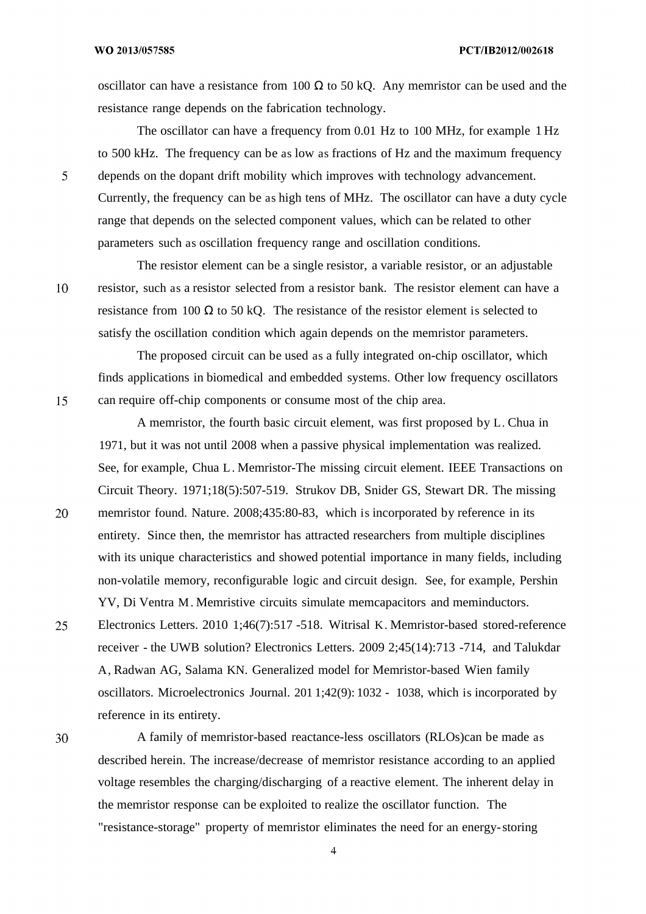oscillator can have a resistance from 100  $\Omega$  to 50 kQ. Any memristor can be used and the resistance range depends on the fabrication technology.

The oscillator can have a frequency from 0.01 Hz to 100 MHz, for example 1 Hz to 500 kHz. The frequency can be as low as fractions of Hz and the maximum frequency depends on the dopant drift mobility which improves with technology advancement. Currently, the frequency can be as high tens of MHz. The oscillator can have a duty cycle range that depends on the selected component values, which can be related to other parameters such as oscillation frequency range and oscillation conditions.

The resistor element can be a single resistor, a variable resistor, or an adjustable resistor, such as a resistor selected from a resistor bank. The resistor element can have a resistance from 100  $\Omega$  to 50 kQ. The resistance of the resistor element is selected to satisfy the oscillation condition which again depends on the memristor parameters.

The proposed circuit can be used as a fully integrated on-chip oscillator, which finds applications in biomedical and embedded systems. Other low frequency oscillators can require off-chip components or consume most of the chip area.

A memristor, the fourth basic circuit element, was first proposed by L. Chua in 1971, but it was not until 2008 when a passive physical implementation was realized. See, for example, Chua L. Memristor-The missing circuit element. IEEE Transactions on Circuit Theory. 1971;18(5):507-519. Strukov DB, Snider GS, Stewart DR. The missing memristor found. Nature. 2008;435:80-83, which is incorporated by reference in its entirety. Since then, the memristor has attracted researchers from multiple disciplines with its unique characteristics and showed potential importance in many fields, including non-volatile memory, reconfigurable logic and circuit design. See, for example, Pershin YV, Di Ventra M. Memristive circuits simulate memcapacitors and meminductors.

Electronics Letters. 2010 1;46(7):517 -518. Witrisal K. Memristor-based stored-reference 25 receiver - the UWB solution? Electronics Letters. 2009 2;45(14):713 -714, and Talukdar A, Radwan AG, Salama KN. Generalized model for Memristor-based Wien family oscillators. Microelectronics Journal. 201 1;42(9): 1032 - 1038, which is incorporated by reference in its entirety.

30

A family of memristor-based reactance-less oscillators (RLOs)can be made as described herein. The increase/decrease of memristor resistance according to an applied voltage resembles the charging/discharging of a reactive element. The inherent delay in the memristor response can be exploited to realize the oscillator function. The "resistance-storage" property of memristor eliminates the need for an energy-storing

15

20

 $\overline{5}$ 

10

 $\overline{4}$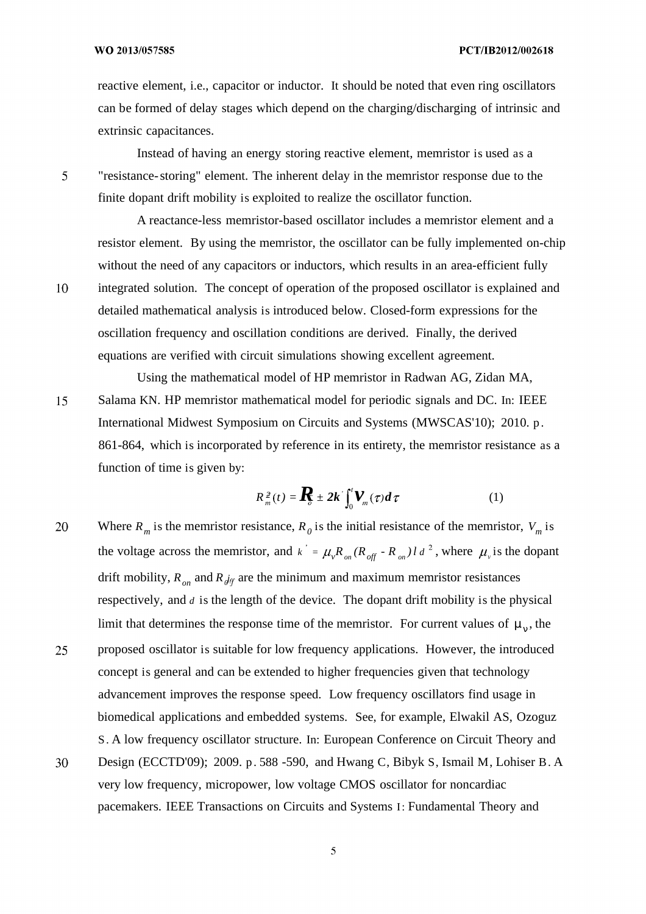reactive element, i.e., capacitor or inductor. It should be noted that even ring oscillators can be formed of delay stages which depend on the charging/discharging of intrinsic and extrinsic capacitances.

Instead of having an energy storing reactive element, memristor is used as a "resistance-storing" element. The inherent delay in the memristor response due to the finite dopant drift mobility is exploited to realize the oscillator function.

A reactance-less memristor-based oscillator includes a memristor element and a resistor element. By using the memristor, the oscillator can be fully implemented on-chip without the need of any capacitors or inductors, which results in an area-efficient fully integrated solution. The concept of operation of the proposed oscillator is explained and detailed mathematical analysis is introduced below. Closed-form expressions for the oscillation frequency and oscillation conditions are derived. Finally, the derived equations are verified with circuit simulations showing excellent agreement.

Using the mathematical model of HP memristor in Radwan AG, Zidan MA, 15 Salama KN. HP memristor mathematical model for periodic signals and DC. In: IEEE International Midwest Symposium on Circuits and Systems (MWSCAS'10); 2010. p. 861-864, which is incorporated by reference in its entirety, the memristor resistance as a function of time is given by:

$$
R_m^2(t) = \mathbf{R}_s \pm 2\mathbf{k} \int_0^t \mathbf{V}_m(\tau) d\tau
$$
 (1)

20 Where  $R_m$  is the memristor resistance,  $R_0$  is the initial resistance of the memristor,  $V_m$  is the voltage across the memristor, and  $k' = \mu_v R_{on} (R_{off} - R_{on})l d^2$ , where  $\mu_v$  is the dopant drift mobility,  $R_{on}$  and  $R_{off}$  are the minimum and maximum memristor resistances respectively, and *d* is the length of the device. The dopant drift mobility is the physical limit that determines the response time of the memristor. For current values of  $\mu_{v}$ , the proposed oscillator is suitable for low frequency applications. However, the introduced 25 concept is general and can be extended to higher frequencies given that technology advancement improves the response speed. Low frequency oscillators find usage in biomedical applications and embedded systems. See, for example, Elwakil AS, Ozoguz S. A low frequency oscillator structure. In: European Conference on Circuit Theory and 30 Design (ECCTD'09); 2009. p. 588 -590, and Hwang C, Bibyk S, Ismail M, Lohiser B. A very low frequency, micropower, low voltage CMOS oscillator for noncardiac pacemakers. IEEE Transactions on Circuits and Systems I: Fundamental Theory and

 $\overline{5}$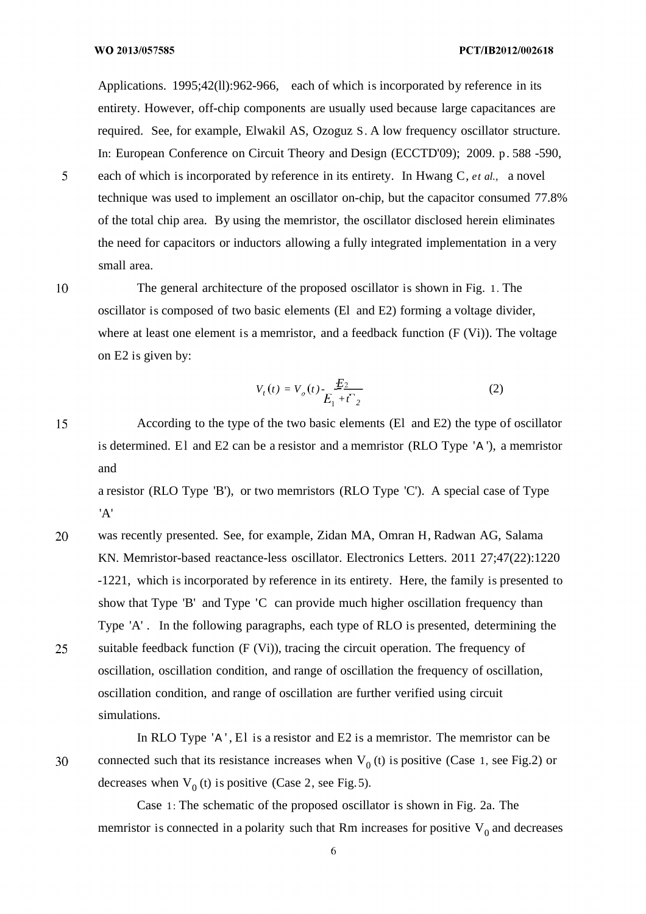Applications. 1995;42(ll):962-966, each of which is incorporated by reference in its entirety. However, off-chip components are usually used because large capacitances are required. See, for example, Elwakil AS, Ozoguz S. A low frequency oscillator structure. In: European Conference on Circuit Theory and Design (ECCTD'09); 2009. p. 588 -590,

each of which is incorporated by reference in its entirety. In Hwang C, *et al.,* a novel technique was used to implement an oscillator on-chip, but the capacitor consumed 77.8% of the total chip area. By using the memristor, the oscillator disclosed herein eliminates the need for capacitors or inductors allowing a fully integrated implementation in a very small area.

10

5

The general architecture of the proposed oscillator is shown in Fig. 1. The oscillator is composed of two basic elements (El and E2) forming a voltage divider, where at least one element is a memristor, and a feedback function  $(F (Vi))$ . The voltage on E2 is given by:

$$
V_t(t) = V_o(t) \frac{E_2}{E_1 + t^2}
$$
 (2)

15 According to the type of the two basic elements (El and E2) the type of oscillator is determined. El and E2 can be a resistor and a memristor (RLO Type 'Α '), a memristor and

a resistor (RLO Type 'B'), or two memristors (RLO Type 'C'). A special case of Type 'A'

20 was recently presented. See, for example, Zidan MA, Omran H, Radwan AG, Salama KN. Memristor-based reactance-less oscillator. Electronics Letters. 2011 27;47(22):1220 -1221, which is incorporated by reference in its entirety. Here, the family is presented to show that Type 'B' and Type 'C can provide much higher oscillation frequency than Type 'A' . In the following paragraphs, each type of RLO is presented, determining the suitable feedback function (F (Vi)), tracing the circuit operation. The frequency of 25 oscillation, oscillation condition, and range of oscillation the frequency of oscillation, oscillation condition, and range of oscillation are further verified using circuit simulations.

30

In RLO Type 'Α ' , El is a resistor and E2 is a memristor. The memristor can be connected such that its resistance increases when  $V_0$  (t) is positive (Case 1, see Fig.2) or decreases when  $V_0$  (t) is positive (Case 2, see Fig.5).

Case 1: The schematic of the proposed oscillator is shown in Fig. 2a. The memristor is connected in a polarity such that Rm increases for positive  $V_0$  and decreases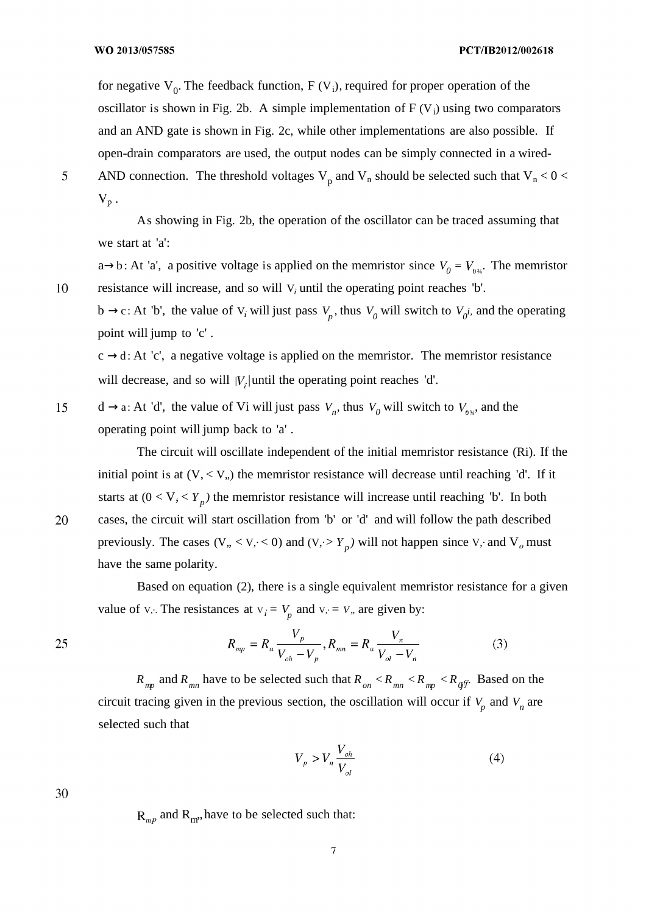for negative  $V_0$ . The feedback function, F (V<sub>i</sub>), required for proper operation of the oscillator is shown in Fig. 2b. A simple implementation of  $F(V_i)$  using two comparators and an AND gate is shown in Fig. 2c, while other implementations are also possible. If open-drain comparators are used, the output nodes can be simply connected in a wired-AND connection. The threshold voltages  $V_p$  and  $V_n$  should be selected such that  $V_n < 0 <$ 

5

10

20

25

 $V_p$ . As showing in Fig. 2b, the operation of the oscillator can be traced assuming that

we start at 'a':

a→b: At 'a', a positive voltage is applied on the memristor since  $V_0 = V_{0.94}$ . The memristor resistance will increase, and so will  $V_i$  until the operating point reaches 'b'.

 $b \rightarrow c$ : At 'b', the value of  $V_i$  will just pass  $V_p$ , thus  $V_0$  will switch to  $V_{0}$ <sup>*i*</sup>, and the operating point will jump to 'c' .

 $c \rightarrow d$ : At 'c', a negative voltage is applied on the memristor. The memristor resistance will decrease, and so will  $|V_{\cdot}|$  until the operating point reaches 'd'.

15 d  $\rightarrow$  a: At 'd', the value of Vi will just pass  $V_n$ , thus  $V_0$  will switch to  $V_{0\mu}$ , and the operating point will jump back to 'a' .

The circuit will oscillate independent of the initial memristor resistance (Ri). If the initial point is at  $(V, < V_0)$ , the memristor resistance will decrease until reaching 'd'. If it starts at  $(0 < V, V, V_p)$  the memristor resistance will increase until reaching 'b'. In both cases, the circuit will start oscillation from 'b' or 'd' and will follow the path described previously. The cases  $(V_0, < V_0, < 0)$  and  $(V_0, > Y_p)$  will not happen since V, and V<sub>o</sub> must have the same polarity.

Based on equation (2), there is a single equivalent memristor resistance for a given value of v, The resistances at  $v_i = V_p$  and v, = *V*, are given by:

$$
R_{mp} = R_a \frac{V_p}{V_{oh} - V_p}, R_{mn} = R_a \frac{V_n}{V_{ol} - V_n}
$$
(3)

*R*<sub>*mp*</sub> and *R*<sub>*mn*</sub> have to be selected such that  $R_{on} < R_{mn} < R_{np} < R_{off}$ . Based on the circuit tracing given in the previous section, the oscillation will occur if  $V_p$  and  $V_n$  are selected such that

$$
V_p > V_n \frac{V_{oh}}{V_{ol}}
$$
 (4)

30

 $_{mP}$  and  $R_{m}$ , have to be selected such that:

 $\overline{7}$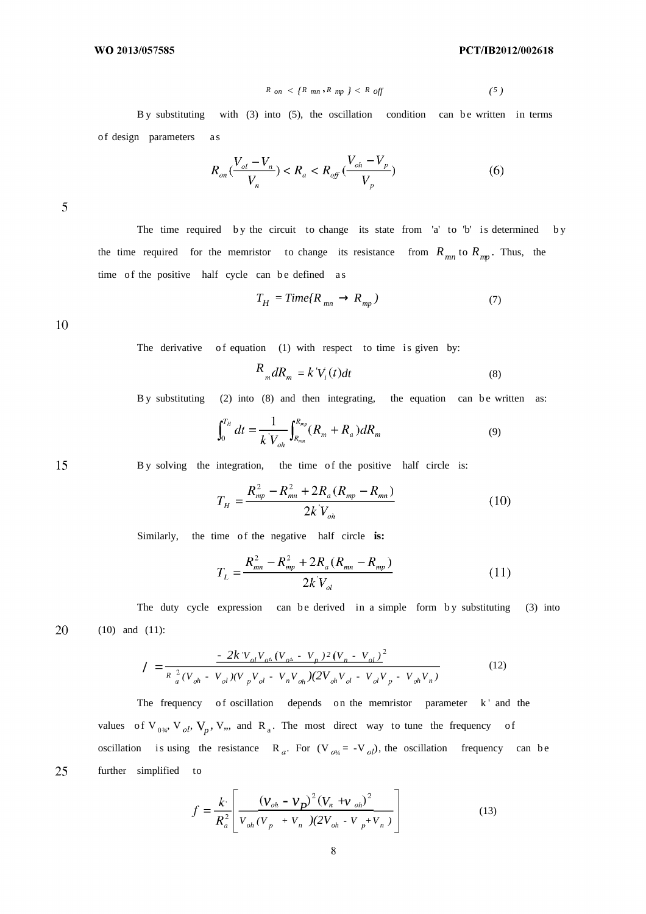#### WO 2013/057585

$$
R_{on} < \{R_{mn}, R_{mp}\} < R_{off} \tag{5}
$$

By substituting with (3) into (5), the oscillation condition can be written in terms of design parameters a s

$$
R_{on}(\frac{V_{ol} - V_n}{V_n}) < R_a < R_{off}(\frac{V_{oh} - V_p}{V_p}) \tag{6}
$$

5

The time required by the circuit to change its state from 'a' to 'b' is determined by the time required for the memristor to change its resistance from  $R_{mn}$  to  $R_{mp}$ . Thus, the time of the positive half cycle can be defined as

$$
T_H = Time\{R_{mn} \to R_{mp}\}\tag{7}
$$

10

25

The derivative of equation  $(1)$  with respect to time is given by:

$$
R_m dR_m = k'V_i(t)dt
$$
\n(8)

By substituting  $(2)$  into  $(8)$  and then integrating, the equation can be written as:

$$
\int_0^{T_H} dt = \frac{1}{k[V_{oh}]} \int_{R_{mn}}^{R_{mp}} (R_m + R_a) dR_m
$$
 (9)

15 B y solving the integration, the time of the positive half circle is:

$$
T_{H} = \frac{R_{mp}^{2} - R_{mn}^{2} + 2R_{a}(R_{mp} - R_{mn})}{2k V_{oh}}
$$
 (10)

Similarly, the time of the negative half circle **is:**

$$
T_L = \frac{R_{mn}^2 - R_{mp}^2 + 2R_a(R_{mn} - R_{mp})}{2k[V_{ol}]} \tag{11}
$$

The duty cycle expression can be derived in a simple form by substituting (3) into 20 (10) and (11):

$$
I = \frac{-2k'V_{ol}V_{ob}(V_{ob} - V_p)^2(V_n - V_{ol})^2}{R_a^2(V_{oh} - V_{ol})(V_pV_{ol} - V_nV_{oh})(2V_{oh}V_{ol} - V_{ol}V_p - V_{oh}V_n)}
$$
(12)

The frequency of oscillation depends on the memristor parameter  $k'$  and the values of  $V_{0^{34}}$ ,  $V_{ol}$ ,  $V_{p}$ ,  $V_{m}$ , and  $R_{a}$ . The most direct way to tune the frequency of oscillation is using the resistance  $R_a$ . For  $(V_{o_{34}} = -V_{ol})$ , the oscillation frequency can be further simplified to

$$
f = \frac{k}{R_a^2} \left[ \frac{(\nu_{oh} - \nu_P)^2 (V_n + \nu_{oh})^2}{V_{oh} (V_p + V_n)(2V_{oh} - V_p + V_n)} \right]
$$
(13)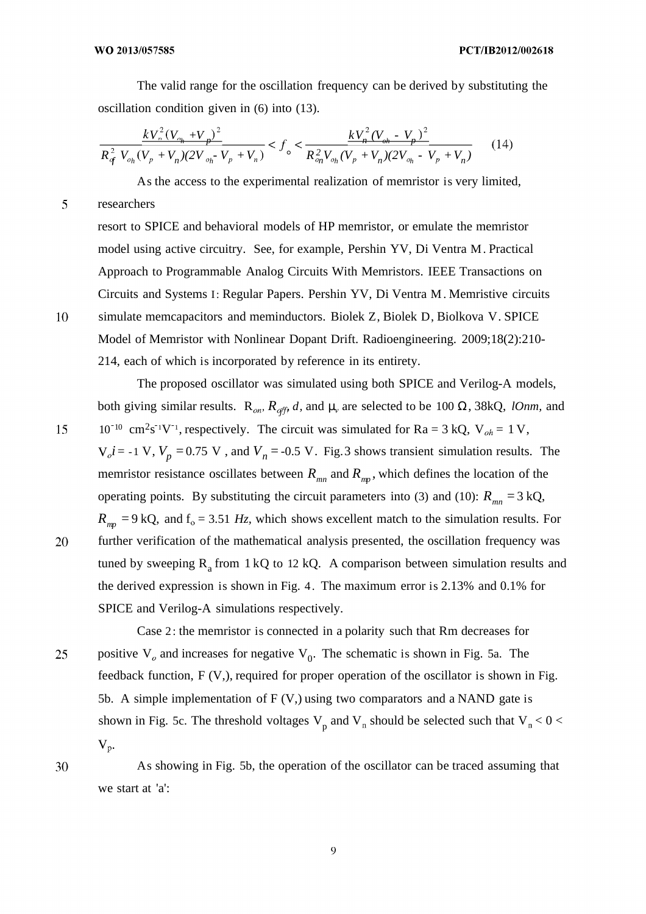5

10

30

The valid range for the oscillation frequency can be derived by substituting the oscillation condition given in (6) into (13).

$$
\frac{kV_n^2(V_{o_h}+V_p)^2}{R_{of}^2 V_{o_h}(V_p+V_n)(2V_{o_h}-V_p+V_n)} < f_\circ < \frac{kV_n^2(V_{o_h}-V_p)^2}{R_{o_n}^2 V_{o_h}(V_p+V_n)(2V_{o_h}-V_p+V_n)}\tag{14}
$$

As the access to the experimental realization of memristor is very limited, researchers

resort to SPICE and behavioral models of HP memristor, or emulate the memristor model using active circuitry. See, for example, Pershin YV, Di Ventra M. Practical Approach to Programmable Analog Circuits With Memristors. IEEE Transactions on Circuits and Systems I: Regular Papers. Pershin YV, Di Ventra M. Memristive circuits simulate memcapacitors and meminductors. Biolek Z, Biolek D, Biolkova V. SPICE Model of Memristor with Nonlinear Dopant Drift. Radioengineering. 2009;18(2):210- 214, each of which is incorporated by reference in its entirety.

The proposed oscillator was simulated using both SPICE and Verilog-A models, both giving similar results.  $R_{on}$ ,  $R_{off}$ , *d*, and  $\mu_v$  are selected to be 100  $\Omega$ , 38kQ, *lOnm*, and 15  $10^{-10}$  cm<sup>2</sup>s<sup>-1</sup>V<sup>-1</sup>, respectively. The circuit was simulated for Ra = 3 kQ, V<sub>oh</sub> = 1 V,  $V_o$ *i* = -1 V,  $V_p$  = 0.75 V, and  $V_p$  = -0.5 V. Fig.3 shows transient simulation results. The memristor resistance oscillates between  $R_{mn}$  and  $R_{mp}$ , which defines the location of the operating points. By substituting the circuit parameters into (3) and (10):  $R_{mn} = 3 \text{ kQ}$ ,  $R_{mn}$  = 9 kQ, and f<sub>o</sub> = 3.51 *Hz*, which shows excellent match to the simulation results. For 20 further verification of the mathematical analysis presented, the oscillation frequency was tuned by sweeping  $R_a$  from 1 kQ to 12 kQ. A comparison between simulation results and the derived expression is shown in Fig. 4. The maximum error is 2.13% and 0.1% for SPICE and Verilog-A simulations respectively.

Case 2: the memristor is connected in a polarity such that Rm decreases for 25 positive  $V_o$  and increases for negative  $V_o$ . The schematic is shown in Fig. 5a. The feedback function, F (V,), required for proper operation of the oscillator is shown in Fig. 5b. A simple implementation of F (V,) using two comparators and a NAND gate is shown in Fig. 5c. The threshold voltages  $V_p$  and  $V_n$  should be selected such that  $V_n < 0 <$  $V_{n}$ 

As showing in Fig. 5b, the operation of the oscillator can be traced assuming that we start at 'a':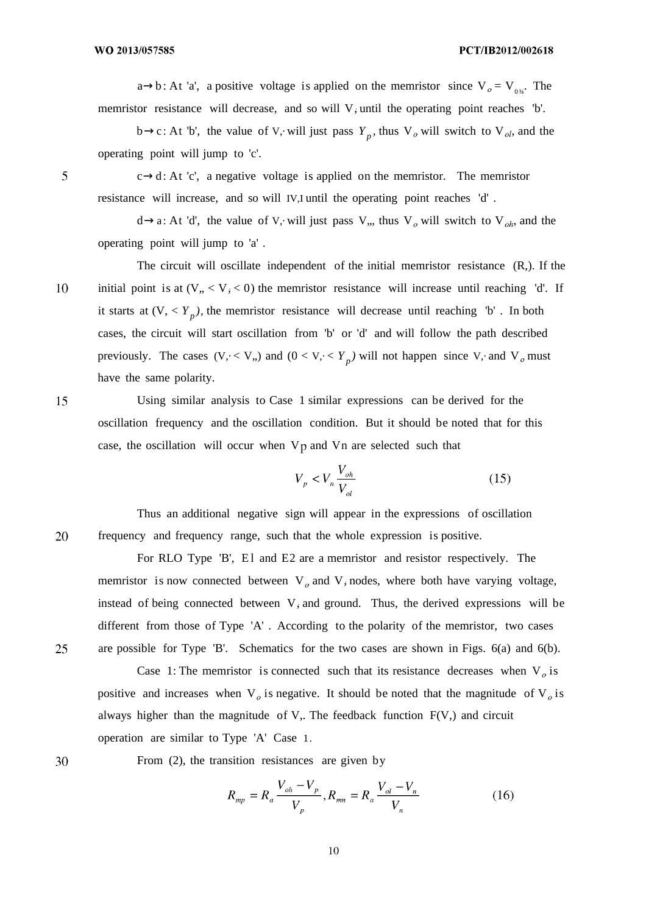a→b: At 'a', a positive voltage is applied on the memristor since  $V_o = V_{o<sub>34</sub>}$ . The memristor resistance will decrease, and so will V, until the operating point reaches 'b'.

b  $\rightarrow$  c: At 'b', the value of V, will just pass  $Y_p$ , thus  $V_o$  will switch to  $V_{ol}$ , and the operating point will jump to 'c'.

5

 $c \rightarrow d$ : At 'c', a negative voltage is applied on the memristor. The memristor resistance will increase, and so will IV,I until the operating point reaches 'd' .

 $d \rightarrow a$ : At 'd', the value of V, will just pass V, thus V<sub>o</sub> will switch to V<sub>ol</sub>, and the operating point will jump to 'a' .

The circuit will oscillate independent of the initial memristor resistance (R,). If the initial point is at  $(V, < V, < 0)$  the memristor resistance will increase until reaching 'd'. If it starts at  $(V, \langle Y_p \rangle)$ , the memristor resistance will decrease until reaching 'b'. In both cases, the circuit will start oscillation from 'b' or 'd' and will follow the path described previously. The cases  $(V, < V, )$  and  $(0 < V, < Y_p)$  will not happen since V, and V<sub>o</sub> must have the same polarity.

15

10

Using similar analysis to Case 1 similar expressions can be derived for the oscillation frequency and the oscillation condition. But it should be noted that for this case, the oscillation will occur when  $Vp$  and  $Vp$  are selected such that

$$
V_p < V_n \frac{V_{oh}}{V_{ol}} \tag{15}
$$

Thus an additional negative sign will appear in the expressions of oscillation 20 frequency and frequency range, such that the whole expression is positive.

For RLO Type 'B', El and E2 are a memristor and resistor respectively. The memristor is now connected between  $V_a$  and V, nodes, where both have varying voltage, instead of being connected between V, and ground. Thus, the derived expressions will be different from those of Type 'A' . According to the polarity of the memristor, two cases are possible for Type 'B'. Schematics for the two cases are shown in Figs. 6(a) and 6(b).

25

Case 1: The memristor is connected such that its resistance decreases when  $V_a$  is positive and increases when  $V_0$  is negative. It should be noted that the magnitude of  $V_0$  is always higher than the magnitude of  $V<sub>1</sub>$ . The feedback function  $F(V<sub>2</sub>)$  and circuit operation are similar to Type 'A' Case 1.

30

From (2), the transition resistances are given by

$$
R_{mp} = R_a \frac{V_{oh} - V_p}{V_p}, R_{mn} = R_a \frac{V_{ol} - V_n}{V_n}
$$
 (16)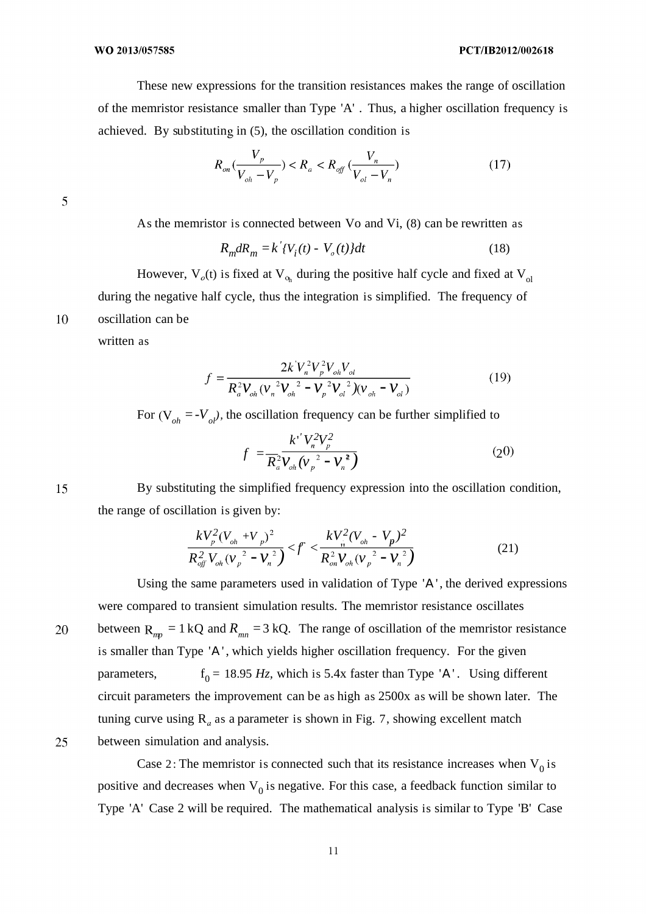These new expressions for the transition resistances makes the range of oscillation of the memristor resistance smaller than Type 'A' . Thus, a higher oscillation frequency is achieved. By substituting in  $(5)$ , the oscillation condition is

$$
R_{on}\left(\frac{V_p}{V_{oh} - V_p}\right) < R_a < R_{off}\left(\frac{V_n}{V_{ol} - V_n}\right) \tag{17}
$$

5

10

15

As the memristor is connected between Vo and Vi, (8) can be rewritten as

$$
R_m dR_m = k' \{ V_i(t) - V_o(t) \} dt
$$
 (18)

However,  $V_o(t)$  is fixed at  $V_{o_h}$  during the positive half cycle and fixed at  $V_{ol}$ during the negative half cycle, thus the integration is simplified. The frequency of oscillation can be

written as

$$
f = \frac{2k'V_n^2V_p^2V_{oh}V_{ol}}{R_a^2V_{oh}(v_n^2V_{oh}^2 - V_p^2V_{ol}^2)(v_{oh} - V_{ol})}
$$
(19)

For  $(V_{oh} = -V_{ol}$ , the oscillation frequency can be further simplified to

$$
f = \frac{k' V_n^2 V_p^2}{R_a^2 V_{oh} (V_p^2 - V_n^2)}
$$
 (20)

By substituting the simplified frequency expression into the oscillation condition, the range of oscillation is given by:

$$
\frac{kV_p^2(V_{oh} + V_p)^2}{R_{off}^2 V_{oh}(V_p^2 - V_n^2)} < f < \frac{kV_{in}^2(V_{oh} - V_p)^2}{R_{on}^2 V_{oh}(V_p^2 - V_n^2)}
$$
(21)

Using the same parameters used in validation of Type 'A', the derived expressions were compared to transient simulation results. The memristor resistance oscillates between  $R_{mp} = 1 kQ$  and  $R_{mn} = 3 kQ$ . The range of oscillation of the memristor resistance 20 is smaller than Type 'Α' , which yields higher oscillation frequency. For the given parameters.  $\hat{C}_0 = 18.95 \; Hz$ , which is 5.4x faster than Type 'A'. Using different circuit parameters the improvement can be as high as 2500x as will be shown later. The tuning curve using  $R_a$  as a parameter is shown in Fig. 7, showing excellent match 25 between simulation and analysis.

Case 2: The memristor is connected such that its resistance increases when  $V_0$  is positive and decreases when  $V_0$  is negative. For this case, a feedback function similar to

Type 'A' Case 2 will be required. The mathematical analysis is similar to Type 'B' Case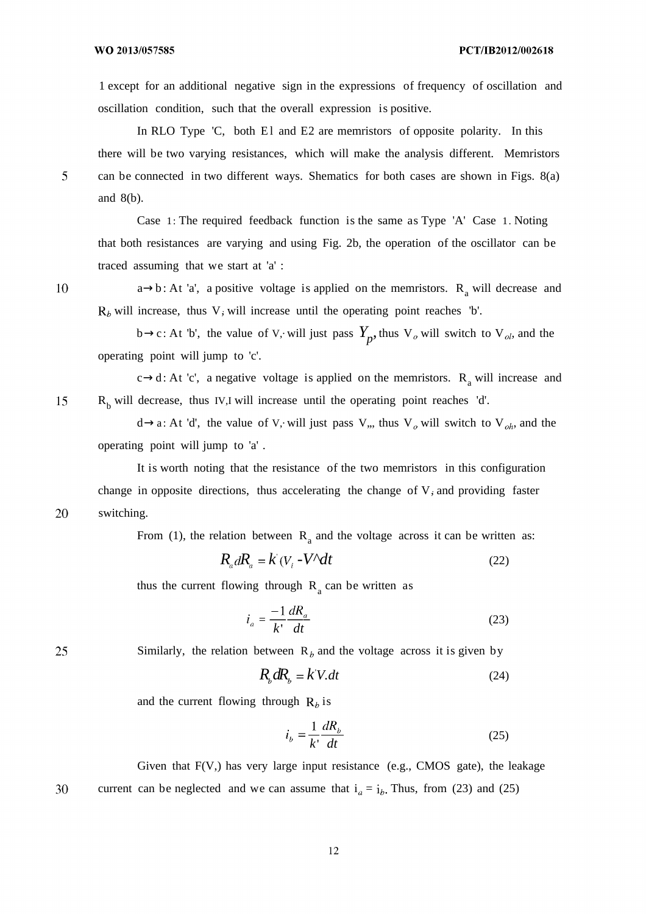1 except for an additional negative sign in the expressions of frequency of oscillation and oscillation condition, such that the overall expression is positive.

In RLO Type 'C, both E1 and E2 are memristors of opposite polarity. In this there will be two varying resistances, which will make the analysis different. Memristors can be connected in two different ways. Shematics for both cases are shown in Figs. 8(a) and 8(b).

Case 1: The required feedback function is the same as Type 'A' Case 1. Noting that both resistances are varying and using Fig. 2b, the operation of the oscillator can be traced assuming that we start at 'a' :

 $a \rightarrow b$ : At 'a', a positive voltage is applied on the memristors.  $R_a$  will decrease and  $R_b$  will increase, thus V, will increase until the operating point reaches 'b'.

b $\rightarrow$ c: At 'b', the value of V, will just pass  $Y_p$ , thus V<sub>o</sub> will switch to V<sub>ol</sub>, and the operating point will jump to 'c'.

c $\rightarrow$ d: At 'c', a negative voltage is applied on the memristors. R<sub>a</sub> will increase and 15  $R_b$  will decrease, thus IV,I will increase until the operating point reaches 'd'.

 $d \rightarrow a$ : At 'd', the value of V, will just pass V,, thus V<sub>o</sub> will switch to V<sub>oh</sub>, and the operating point will jump to 'a' .

It is worth noting that the resistance of the two memristors in this configuration change in opposite directions, thus accelerating the change of  $V$ , and providing faster switching.

From (1), the relation between  $R_a$  and the voltage across it can be written as:

$$
R_{a}dR_{a} = k(V_{i} - V^{\wedge}dt \tag{22}
$$

thus the current flowing through  $R_a$  can be written as

$$
i_a = \frac{-1}{k'} \frac{dR_a}{dt} \tag{23}
$$

25

20

Similarly, the relation between  $R_b$  and the voltage across it is given by

$$
R_{b}dR_{b} = kV.dt
$$
 (24)

and the current flowing through  $R_b$  is

$$
i_b = \frac{1}{k'} \frac{dR_b}{dt}
$$
 (25)

Given that  $F(V)$ , has very large input resistance (e.g., CMOS gate), the leakage 30 current can be neglected and we can assume that  $i_a = i_b$ . Thus, from (23) and (25)

5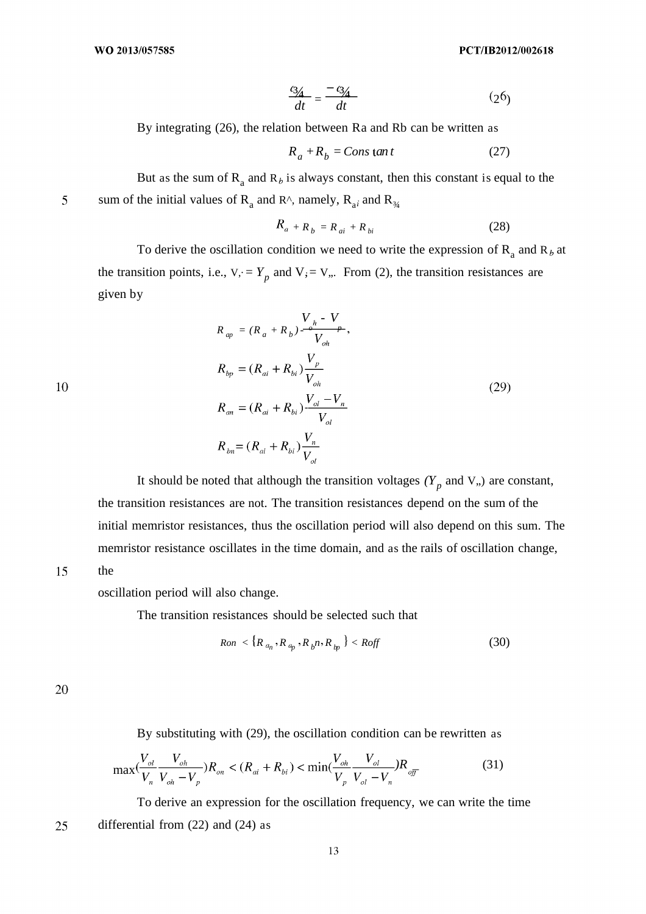$$
\frac{d^2A}{dt} = \frac{-d^2A}{dt} \tag{26}
$$

By integrating (26), the relation between Ra and Rb can be written as

$$
R_a + R_b = Constan t \tag{27}
$$

But as the sum of  $R_a$  and  $R_b$  is always constant, then this constant is equal to the 5 sum of the initial values of R<sub>a</sub> and R<sup> $\lambda$ </sup>, namely, R<sub>ai</sub> and R<sub>34</sub>

$$
R_{a} + R_{b} = R_{ai} + R_{bi} \tag{28}
$$

To derive the oscillation condition we need to write the expression of  $R_a$  and  $R_b$  at the transition points, i.e.,  $V_i = Y_p$  and  $V_i = V_{i,j}$ . From (2), the transition resistances are given by

$$
R_{ap} = (R_a + R_b) \frac{V_h - V}{V_{oh}}
$$
  
\n
$$
R_{bp} = (R_{ai} + R_{bi}) \frac{V_p}{V_{oh}}
$$
  
\n
$$
R_{an} = (R_{ai} + R_{bi}) \frac{V_{ol} - V_n}{V_{ol}}
$$
  
\n
$$
R_{bn} = (R_{ai} + R_{bi}) \frac{V_n}{V_{ol}}
$$
  
\n(29)

10

It should be noted that although the transition voltages  $(Y_p$  and V<sub>n</sub>) are constant, the transition resistances are not. The transition resistances depend on the sum of the initial memristor resistances, thus the oscillation period will also depend on this sum. The memristor resistance oscillates in the time domain, and as the rails of oscillation change,

15

the

oscillation period will also change.

The transition resistances should be selected such that

$$
Ron < \{R_{a_n}, R_{a_p}, R_{b^n}, R_{b_p}\} < Roff \tag{30}
$$

20

25

By substituting with (29), the oscillation condition can be rewritten as

$$
\max(\frac{V_{ol}}{V_n}\frac{V_{oh}}{V_{oh}-V_p})R_{on} < (R_{ai} + R_{bi}) < \min(\frac{V_{oh}}{V_p}\frac{V_{ol}}{V_{ol}-V_n})R_{off}
$$
(31)

To derive an expression for the oscillation frequency, we can write the time differential from (22) and (24) as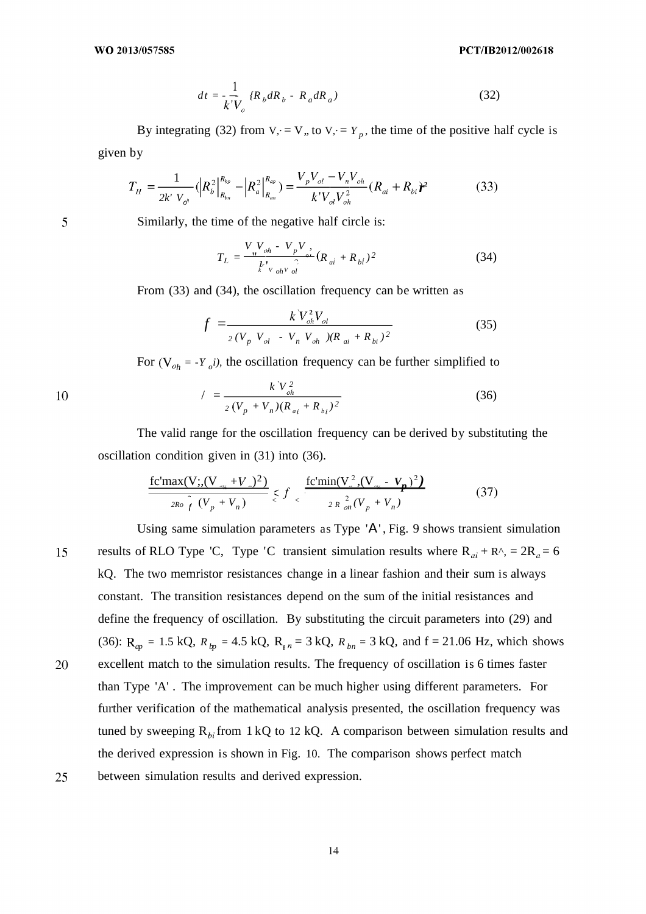$$
dt = \frac{1}{kV_o} \left( R_b dR_b - R_a dR_a \right) \tag{32}
$$

By integrating (32) from  $V_i = V_{i,j}$ , to  $V_i = Y_{i,j}$ , the time of the positive half cycle is given by

$$
T_{H} = \frac{1}{2k' V_{\partial^{i}}} \left( R_{b}^{2} \Big|_{R_{bn}}^{R_{bp}} - \Big| R_{a}^{2} \Big|_{R_{an}}^{R_{ap}} \right) = \frac{V_{p} V_{ol} - V_{n} V_{oh}}{k' V_{ol} V_{oh}^{2}} (R_{ai} + R_{bi})^{2}
$$
(33)

Similarly, the time of the negative half circle is:

$$
T_L = \frac{V V_{oh} - V_p V}{\frac{1}{k} V_{oh} V_{ol}} (R_{ai} + R_{bi})^2
$$
 (34)

From (33) and (34), the oscillation frequency can be written as

$$
f = \frac{k'V_{oh}^2V_{ol}}{2(V_p\ V_{ol} - V_n\ V_{oh})/(R_{ai} + R_{bi})^2}
$$
(35)

For  $(V_{o_h} = -Y_o i)$ , the oscillation frequency can be further simplified to

$$
V = \frac{k'V_{oh}^2}{2(V_p + V_n)(R_{ai} + R_{bi})^2}
$$
 (36)

Using same simulation parameters as Type 'Α' , Fig. 9 shows transient simulation

The valid range for the oscillation frequency can be derived by substituting the oscillation condition given in (31) into (36).

$$
\frac{\text{fc}^{\prime} \max(V; (V_{\text{ex}} + V_{\text{ex}})^2)}{2R\sigma_f^2 (V_p + V_n)} \le f \le \frac{\text{fc}^{\prime} \min(V_{\text{ex}}^2 (V_{\text{ex}} - V_p)^2)}{2R \sigma_o^2 (V_p + V_n)}
$$
(37)

results of RLO Type 'C, Type 'C transient simulation results where  $R_{ai} + R^2 = 2R_a = 6$ 15 kQ. The two memristor resistances change in a linear fashion and their sum is always constant. The transition resistances depend on the sum of the initial resistances and define the frequency of oscillation. By substituting the circuit parameters into (29) and (36):  $R_{ap} = 1.5 \text{ kQ}, R_{bp} = 4.5 \text{ kQ}, R_{fn} = 3 \text{ kQ}, R_{bn} = 3 \text{ kQ}, \text{ and } f = 21.06 \text{ Hz}, \text{ which shows}$ 20 excellent match to the simulation results. The frequency of oscillation is 6 times faster than Type 'A' . The improvement can be much higher using different parameters. For further verification of the mathematical analysis presented, the oscillation frequency was tuned by sweeping  $R_{bi}$  from 1 kQ to 12 kQ. A comparison between simulation results and the derived expression is shown in Fig. 10. The comparison shows perfect match

25 between simulation results and derived expression.

14

10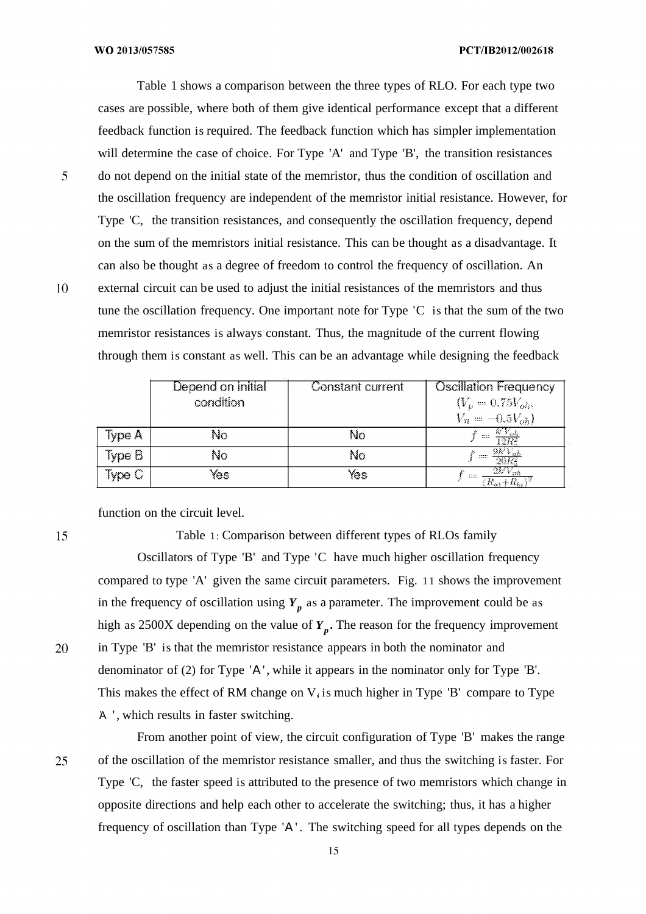Table 1 shows a comparison between the three types of RLO. For each type two cases are possible, where both of them give identical performance except that a different feedback function is required. The feedback function which has simpler implementation will determine the case of choice. For Type 'A' and Type 'B', the transition resistances do not depend on the initial state of the memristor, thus the condition of oscillation and the oscillation frequency are independent of the memristor initial resistance. However, for Type 'C, the transition resistances, and consequently the oscillation frequency, depend on the sum of the memristors initial resistance. This can be thought as a disadvantage. It can also be thought as a degree of freedom to control the frequency of oscillation. An external circuit can be used to adjust the initial resistances of the memristors and thus tune the oscillation frequency. One important note for Type 'C is that the sum of the two memristor resistances is always constant. Thus, the magnitude of the current flowing through them is constant as well. This can be an advantage while designing the feedback

|        | Depend on initial | Constant current | <b>Oscillation Frequency</b>                    |
|--------|-------------------|------------------|-------------------------------------------------|
|        | condition         |                  | $\{V_{p} = 0.75V_{oh},\}$<br>$V_n = -0.5V_{oh}$ |
| Type A | NO                | No               | <b>that</b>                                     |
| Type B | NQ                | No               | m                                               |
| Type C | (es               | Yes              | 3333                                            |

function on the circuit level.

15

20

5

10

Table 1: Comparison between different types of RLOs family

Oscillators of Type 'B' and Type 'C have much higher oscillation frequency compared to type 'A' given the same circuit parameters. Fig. 11 shows the improvement in the frequency of oscillation using  $Y_p$  as a parameter. The improvement could be as high as 2500X depending on the value of *Y p .* The reason for the frequency improvement in Type 'B' is that the memristor resistance appears in both the nominator and denominator of (2) for Type 'Α', while it appears in the nominator only for Type 'B'. This makes the effect of RM change on V, is much higher in Type 'B' compare to Type Ά ', which results in faster switching.

25

From another point of view, the circuit configuration of Type 'B' makes the range of the oscillation of the memristor resistance smaller, and thus the switching is faster. For Type 'C, the faster speed is attributed to the presence of two memristors which change in opposite directions and help each other to accelerate the switching; thus, it has a higher frequency of oscillation than Type 'Α ' . The switching speed for all types depends on the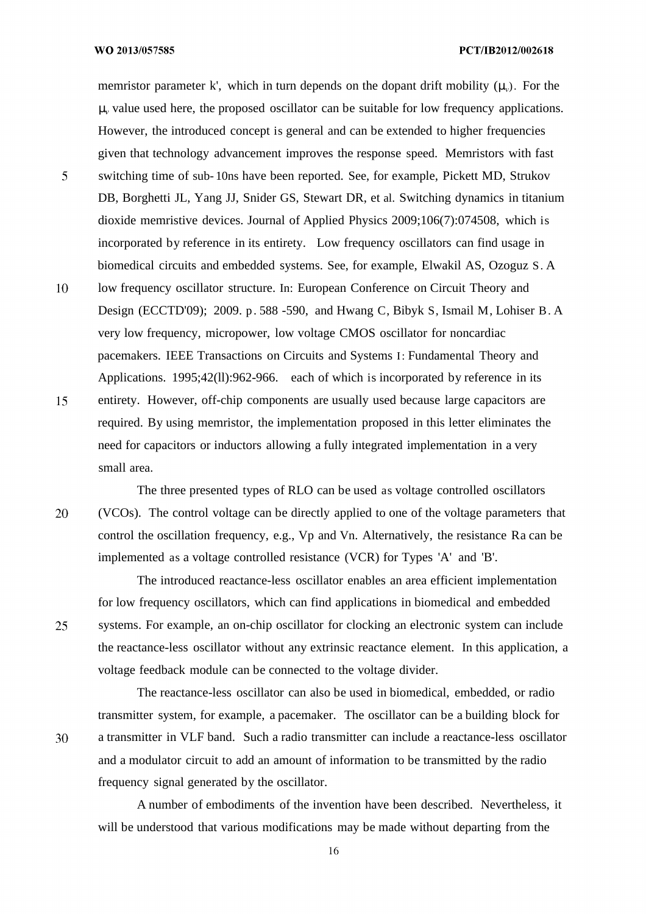memristor parameter k', which in turn depends on the dopant drift mobility  $(\mu_{\nu})$ . For the µ value used here, the proposed oscillator can be suitable for low frequency applications. However, the introduced concept is general and can be extended to higher frequencies given that technology advancement improves the response speed. Memristors with fast switching time of sub- 10ns have been reported. See, for example, Pickett MD, Strukov DB, Borghetti JL, Yang JJ, Snider GS, Stewart DR, et al. Switching dynamics in titanium dioxide memristive devices. Journal of Applied Physics 2009;106(7):074508, which is incorporated by reference in its entirety. Low frequency oscillators can find usage in biomedical circuits and embedded systems. See, for example, Elwakil AS, Ozoguz S. A 10 low frequency oscillator structure. In: European Conference on Circuit Theory and Design (ECCTD'09); 2009. p. 588 -590, and Hwang C, Bibyk S, Ismail M, Lohiser B. A very low frequency, micropower, low voltage CMOS oscillator for noncardiac pacemakers. IEEE Transactions on Circuits and Systems I: Fundamental Theory and Applications. 1995;42(ll):962-966. each of which is incorporated by reference in its 15 entirety. However, off-chip components are usually used because large capacitors are required. By using memristor, the implementation proposed in this letter eliminates the need for capacitors or inductors allowing a fully integrated implementation in a very small area.

20

 $\overline{5}$ 

The three presented types of RLO can be used as voltage controlled oscillators (VCOs). The control voltage can be directly applied to one of the voltage parameters that control the oscillation frequency, e.g., Vp and Vn. Alternatively, the resistance Ra can be implemented as a voltage controlled resistance (VCR) for Types 'A' and 'B'.

25

30

for low frequency oscillators, which can find applications in biomedical and embedded systems. For example, an on-chip oscillator for clocking an electronic system can include the reactance-less oscillator without any extrinsic reactance element. In this application, a voltage feedback module can be connected to the voltage divider.

The introduced reactance-less oscillator enables an area efficient implementation

The reactance-less oscillator can also be used in biomedical, embedded, or radio transmitter system, for example, a pacemaker. The oscillator can be a building block for a transmitter in VLF band. Such a radio transmitter can include a reactance-less oscillator and a modulator circuit to add an amount of information to be transmitted by the radio frequency signal generated by the oscillator.

A number of embodiments of the invention have been described. Nevertheless, it will be understood that various modifications may be made without departing from the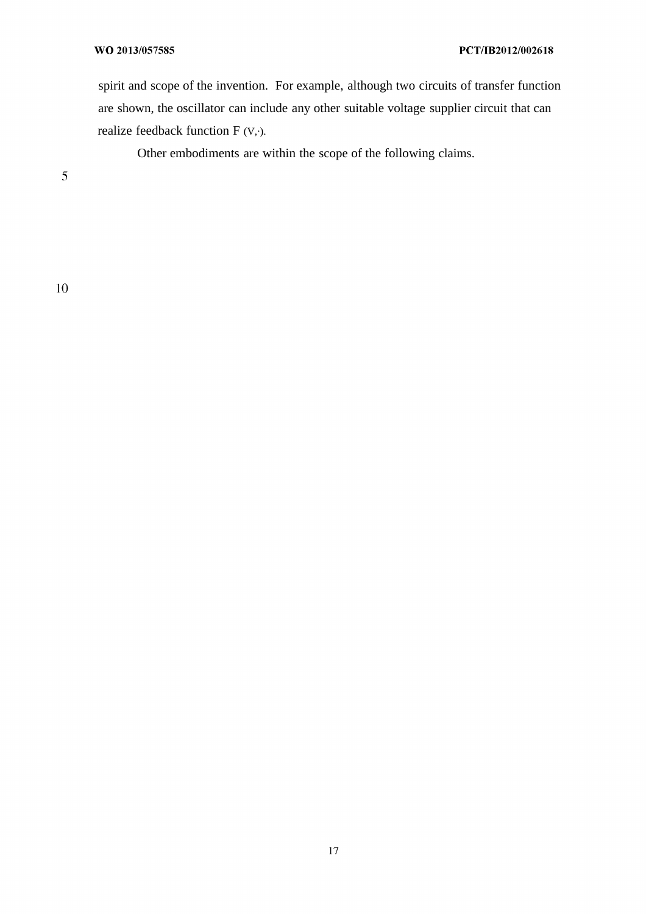spirit and scope of the invention. For example, although two circuits of transfer function are shown, the oscillator can include any other suitable voltage supplier circuit that can realize feedback function  $F(v, \cdot)$ .

Other embodiments are within the scope of the following claims.

 $\overline{5}$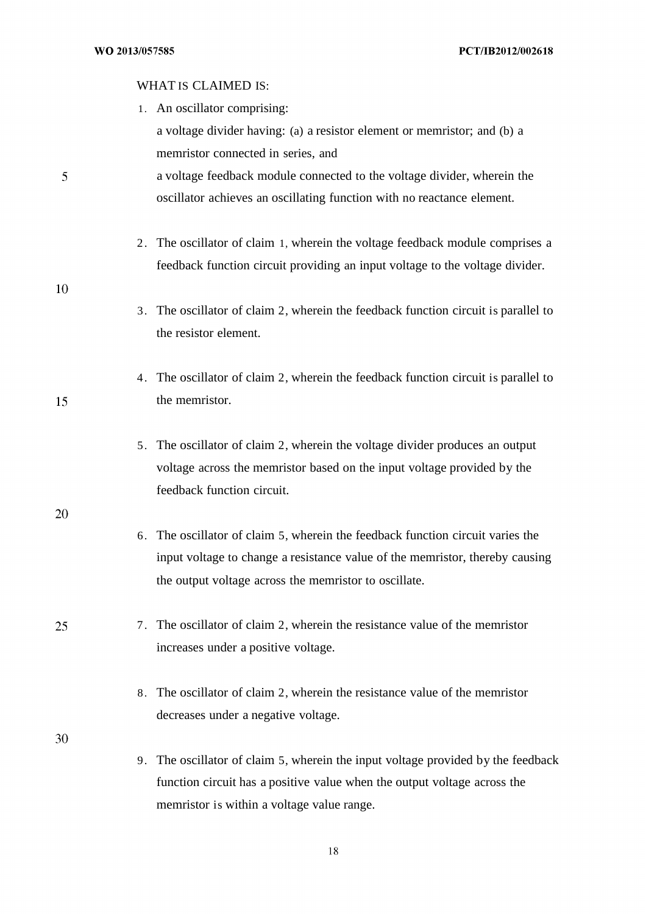### WHAT IS CLAIMED IS:

| 5  | 1. An oscillator comprising:<br>a voltage divider having: (a) a resistor element or memristor; and (b) a<br>memristor connected in series, and<br>a voltage feedback module connected to the voltage divider, wherein the<br>oscillator achieves an oscillating function with no reactance element. |
|----|-----------------------------------------------------------------------------------------------------------------------------------------------------------------------------------------------------------------------------------------------------------------------------------------------------|
|    | 2. The oscillator of claim 1, wherein the voltage feedback module comprises a<br>feedback function circuit providing an input voltage to the voltage divider.                                                                                                                                       |
| 10 | The oscillator of claim 2, wherein the feedback function circuit is parallel to<br>3.<br>the resistor element.                                                                                                                                                                                      |
| 15 | 4. The oscillator of claim 2, wherein the feedback function circuit is parallel to<br>the memristor.                                                                                                                                                                                                |
|    | 5. The oscillator of claim 2, wherein the voltage divider produces an output<br>voltage across the memristor based on the input voltage provided by the<br>feedback function circuit.                                                                                                               |
| 20 | The oscillator of claim 5, wherein the feedback function circuit varies the<br>6.<br>input voltage to change a resistance value of the memristor, thereby causing<br>the output voltage across the memristor to oscillate.                                                                          |
| 25 | 7. The oscillator of claim 2, wherein the resistance value of the memristor<br>increases under a positive voltage.                                                                                                                                                                                  |
|    | The oscillator of claim 2, wherein the resistance value of the memristor<br>8.<br>decreases under a negative voltage.                                                                                                                                                                               |
| 30 | The oscillator of claim 5, wherein the input voltage provided by the feedback<br>9.<br>function circuit has a positive value when the output voltage across the<br>memristor is within a voltage value range.                                                                                       |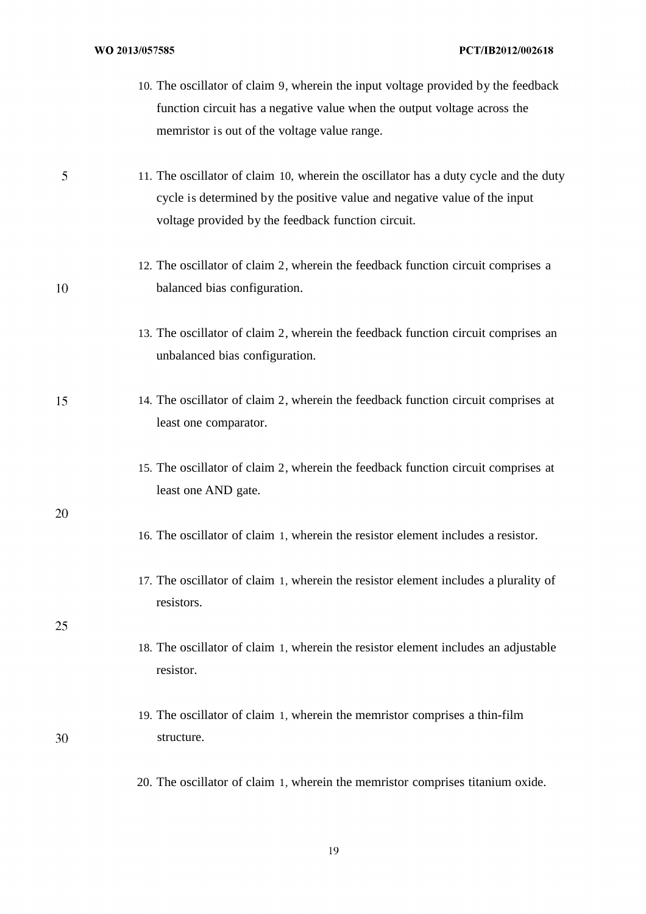### WO 2013/057585

|    | 10. The oscillator of claim 9, wherein the input voltage provided by the feedback<br>function circuit has a negative value when the output voltage across the<br>memristor is out of the voltage value range.           |
|----|-------------------------------------------------------------------------------------------------------------------------------------------------------------------------------------------------------------------------|
| 5  | 11. The oscillator of claim 10, wherein the oscillator has a duty cycle and the duty<br>cycle is determined by the positive value and negative value of the input<br>voltage provided by the feedback function circuit. |
| 10 | 12. The oscillator of claim 2, wherein the feedback function circuit comprises a<br>balanced bias configuration.                                                                                                        |
|    | 13. The oscillator of claim 2, wherein the feedback function circuit comprises an<br>unbalanced bias configuration.                                                                                                     |
| 15 | 14. The oscillator of claim 2, wherein the feedback function circuit comprises at<br>least one comparator.                                                                                                              |
|    | 15. The oscillator of claim 2, wherein the feedback function circuit comprises at<br>least one AND gate.                                                                                                                |
| 20 | 16. The oscillator of claim 1, wherein the resistor element includes a resistor.                                                                                                                                        |
|    | 17. The oscillator of claim 1, wherein the resistor element includes a plurality of<br>resistors.                                                                                                                       |
| 25 | 18. The oscillator of claim 1, wherein the resistor element includes an adjustable<br>resistor.                                                                                                                         |
| 30 | 19. The oscillator of claim 1, wherein the memristor comprises a thin-film<br>structure.                                                                                                                                |
|    | 20. The oscillator of claim 1, wherein the memristor comprises titanium oxide.                                                                                                                                          |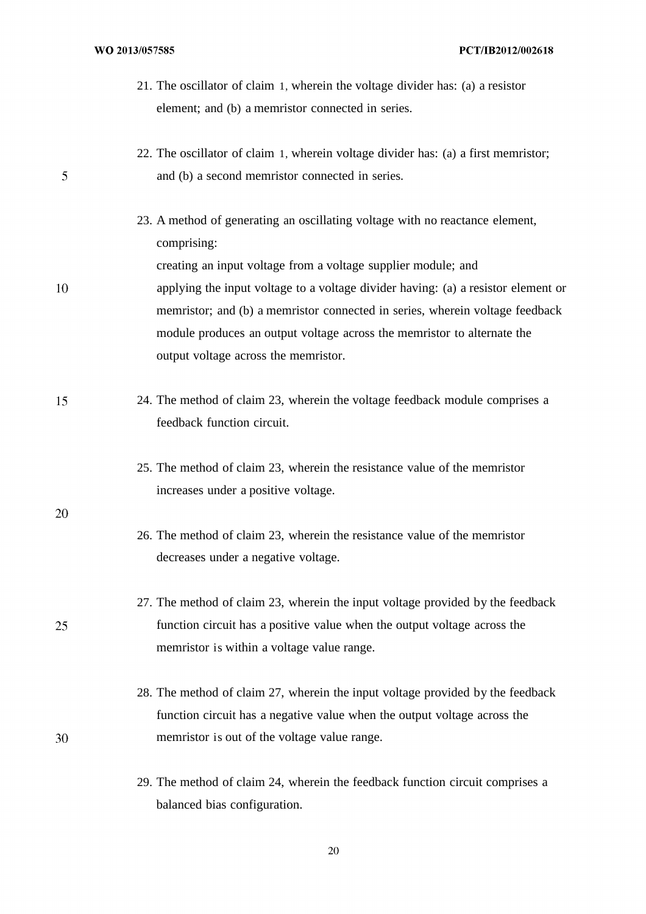- 21. The oscillator of claim 1, wherein the voltage divider has: (a) a resistor element; and (b) a memristor connected in series.
- 22. The oscillator of claim 1, wherein voltage divider has: (a) a first memristor; and (b) a second memristor connected in series.
- 23. A method of generating an oscillating voltage with no reactance element, comprising: creating an input voltage from a voltage supplier module; and
- 10 applying the input voltage to a voltage divider having: (a) a resistor element or memristor; and (b) a memristor connected in series, wherein voltage feedback module produces an output voltage across the memristor to alternate the output voltage across the memristor.
- 15 24. The method of claim 23, wherein the voltage feedback module comprises a feedback function circuit.
	- 25. The method of claim 23, wherein the resistance value of the memristor increases under a positive voltage.
- 20

25

30

5

26. The method of claim 23, wherein the resistance value of the memristor decreases under a negative voltage.

- 27. The method of claim 23, wherein the input voltage provided by the feedback function circuit has a positive value when the output voltage across the memristor is within a voltage value range.
- 28. The method of claim 27, wherein the input voltage provided by the feedback function circuit has a negative value when the output voltage across the memristor is out of the voltage value range.
	- 29. The method of claim 24, wherein the feedback function circuit comprises a balanced bias configuration.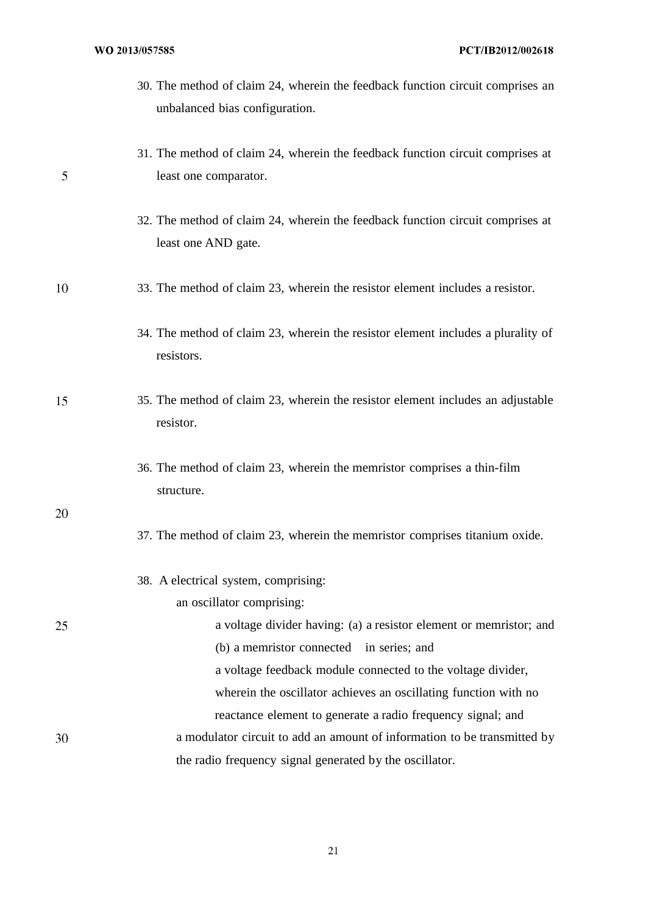#### WO 2013/057585

30. The method of claim 24, wherein the feedback function circuit comprises an unbalanced bias configuration. 31. The method of claim 24, wherein the feedback function circuit comprises at 5 least one comparator. 32. The method of claim 24, wherein the feedback function circuit comprises at least one AND gate. 10 33. The method of claim 23, wherein the resistor element includes a resistor. 34. The method of claim 23, wherein the resistor element includes a plurality of resistors. 15 35. The method of claim 23, wherein the resistor element includes an adjustable resistor. 36. The method of claim 23, wherein the memristor comprises a thin-film structure. 20 37. The method of claim 23, wherein the memristor comprises titanium oxide. 38. A electrical system, comprising: an oscillator comprising: 25 a voltage divider having: (a) a resistor element or memristor; and (b) a memristor connected in series; and a voltage feedback module connected to the voltage divider, wherein the oscillator achieves an oscillating function with no reactance element to generate a radio frequency signal; and 30 a modulator circuit to add an amount of information to be transmitted by the radio frequency signal generated by the oscillator.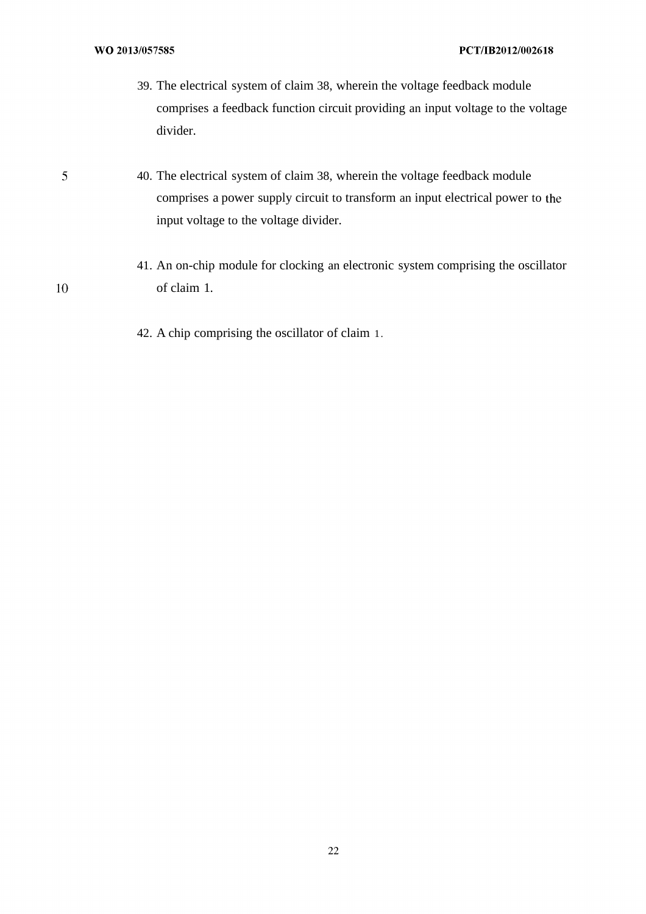$\overline{5}$ 

10

39. The electrical system of claim 38, wherein the voltage feedback module comprises a feedback function circuit providing an input voltage to the voltage divider.

## 40. The electrical system of claim 38, wherein the voltage feedback module comprises a power supply circuit to transform an input electrical power to input voltage to the voltage divider.

- 41. An on-chip module for clocking an electronic system comprising the oscillator of claim 1.
	- 42. A chip comprising the oscillator of claim 1.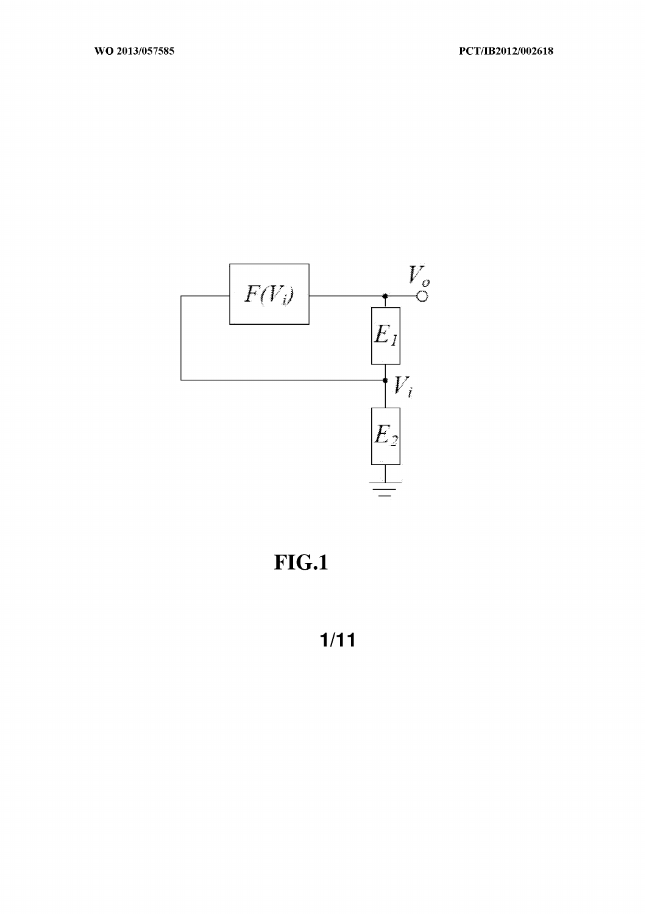

 $FIG.1$ 

 $1/11$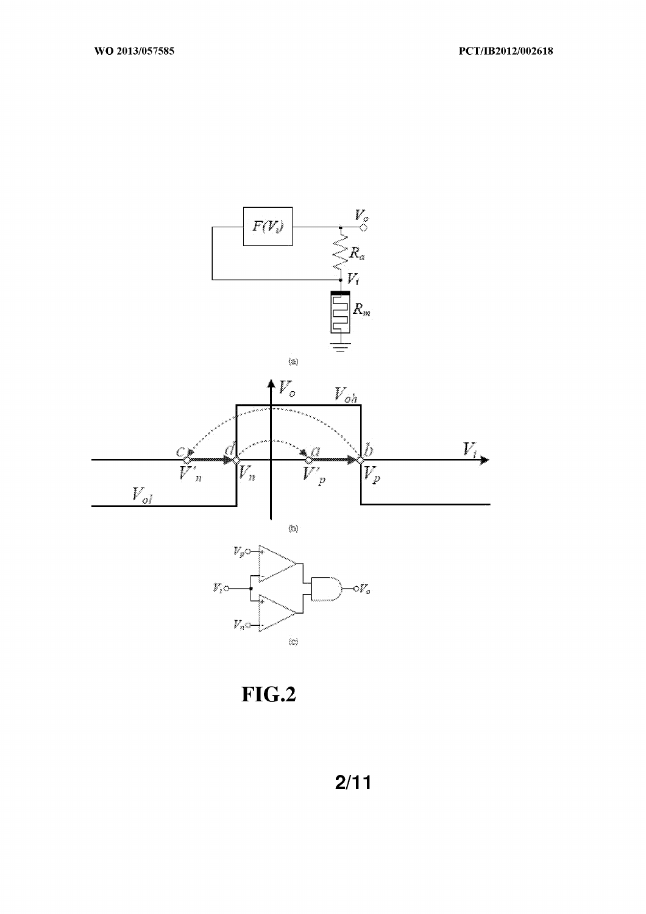



 $FIG.2$ 

 $2/11$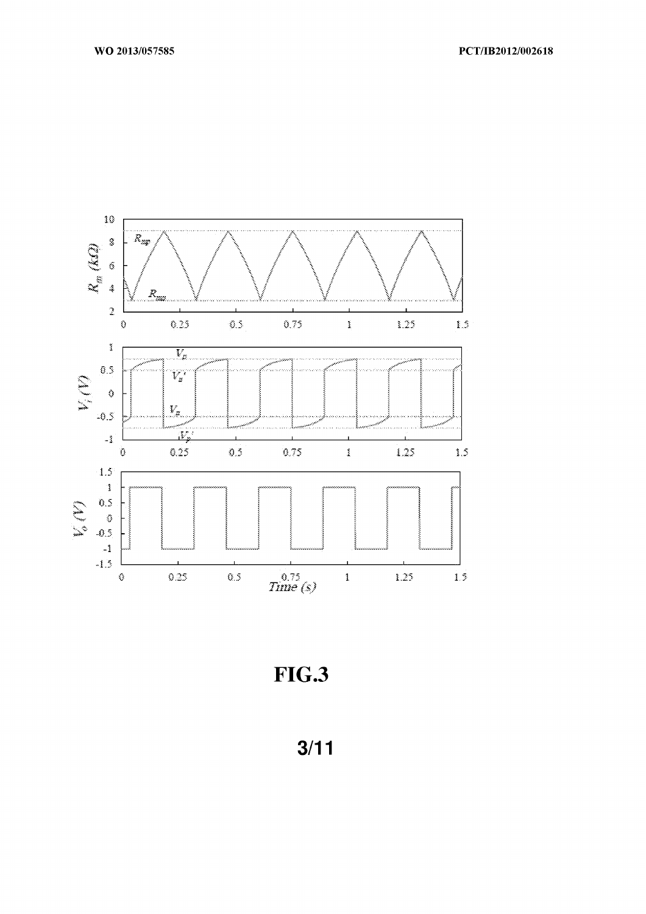

 $FIG.3$ 

 $3/11$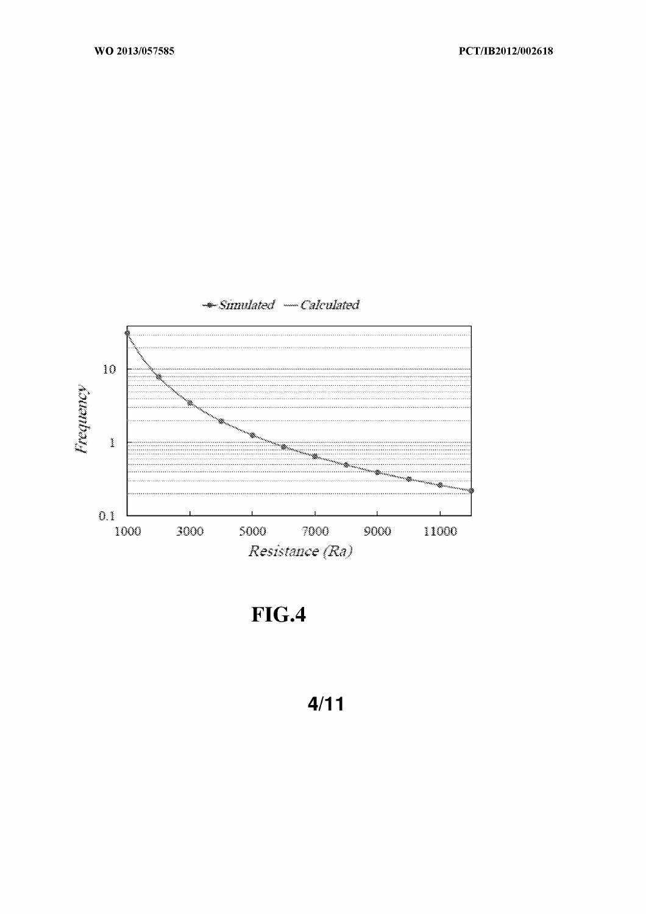

 $FIG.4$ 

 $4/11$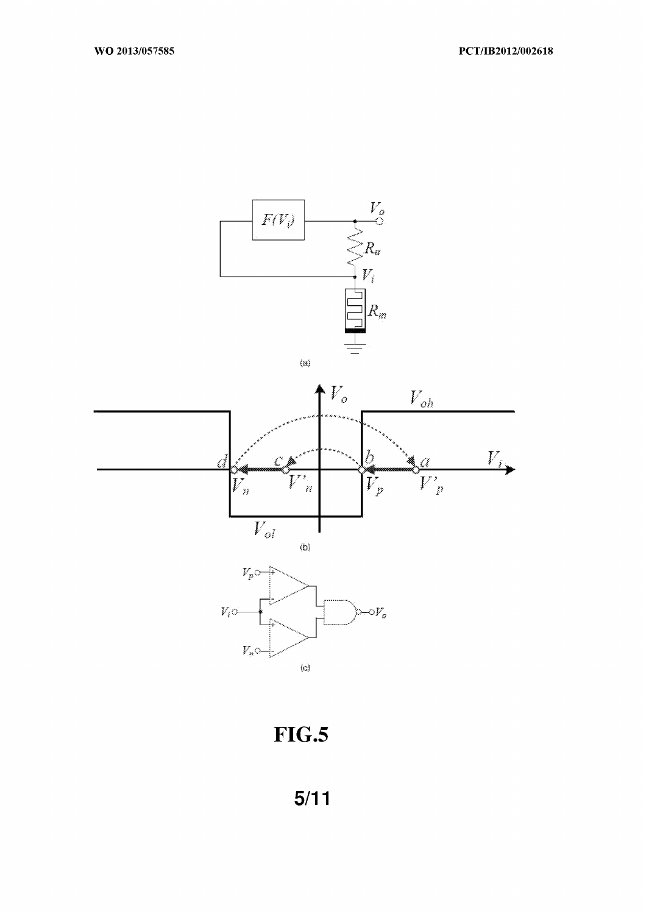

 $FIG.5$ 

 $5/11$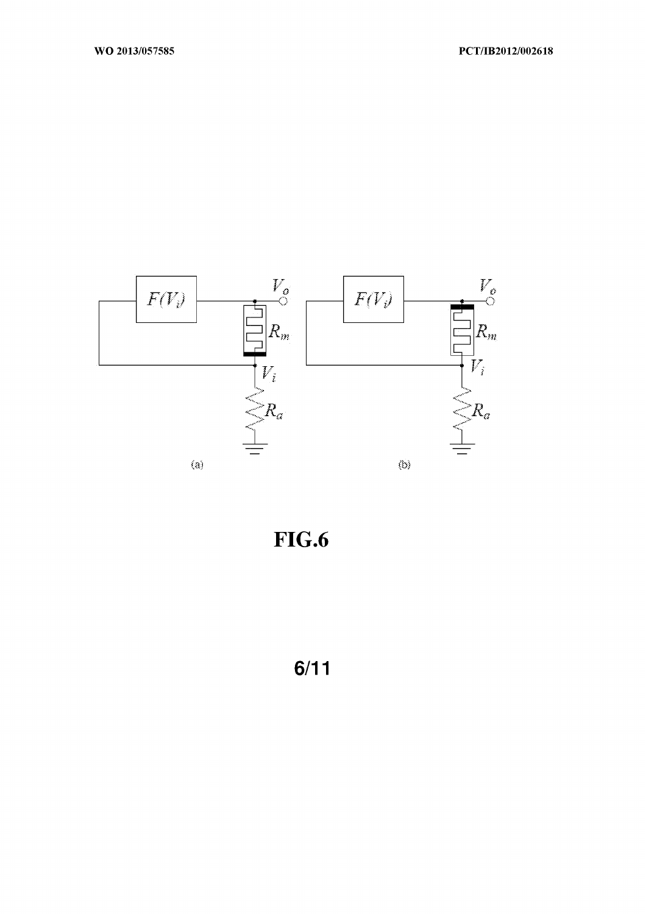

**FIG.6** 

 $6/11$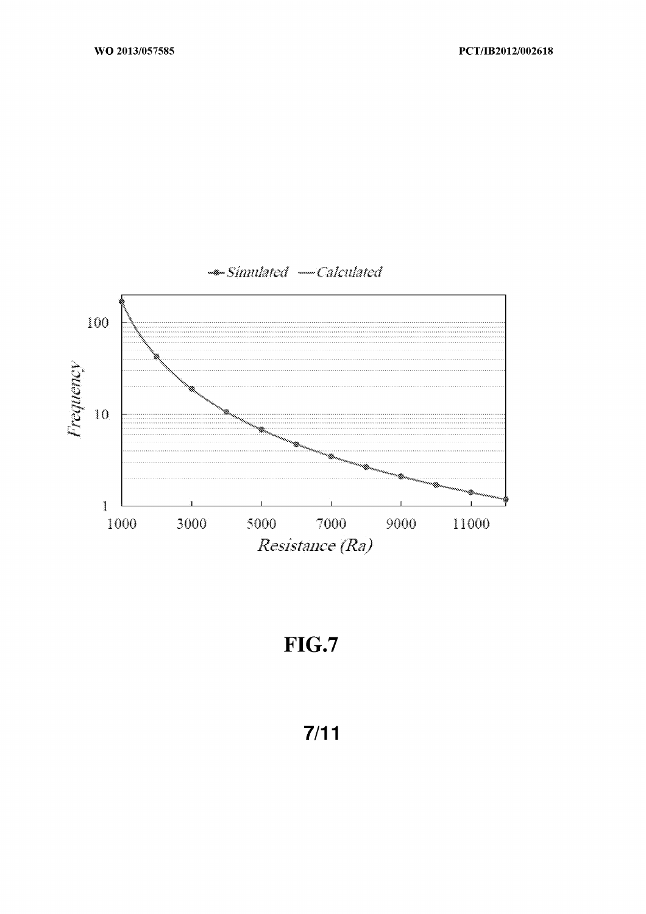

# $FIG.7$

# $7/11$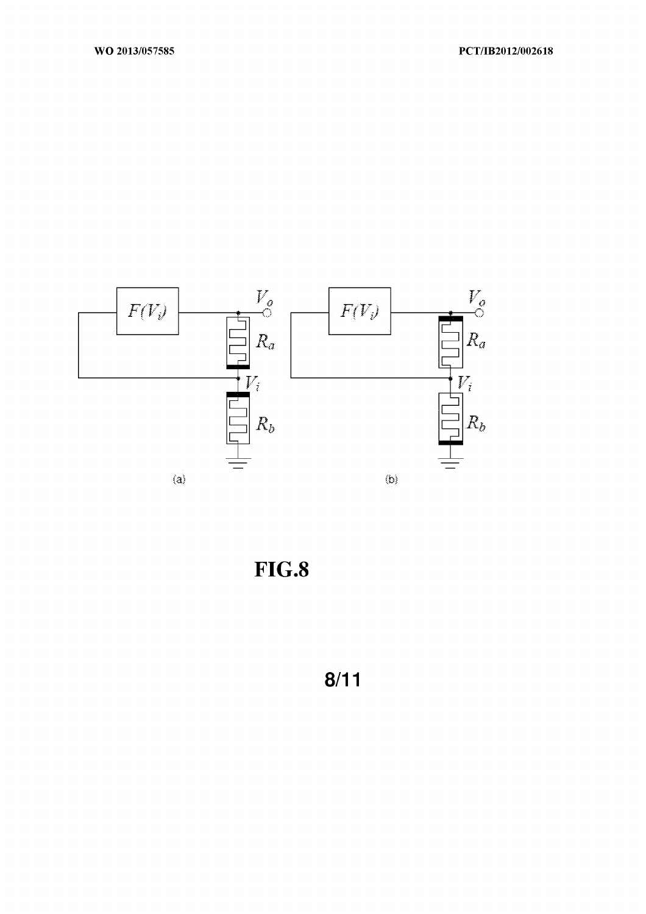

 $FIG.8$ 

 $8/11$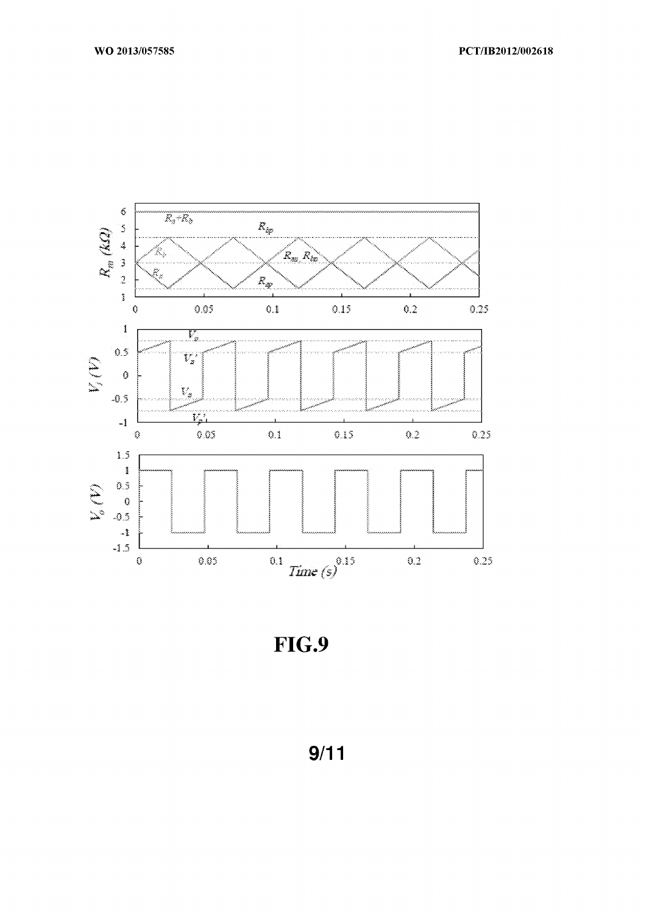

FIG.9

 $9/11$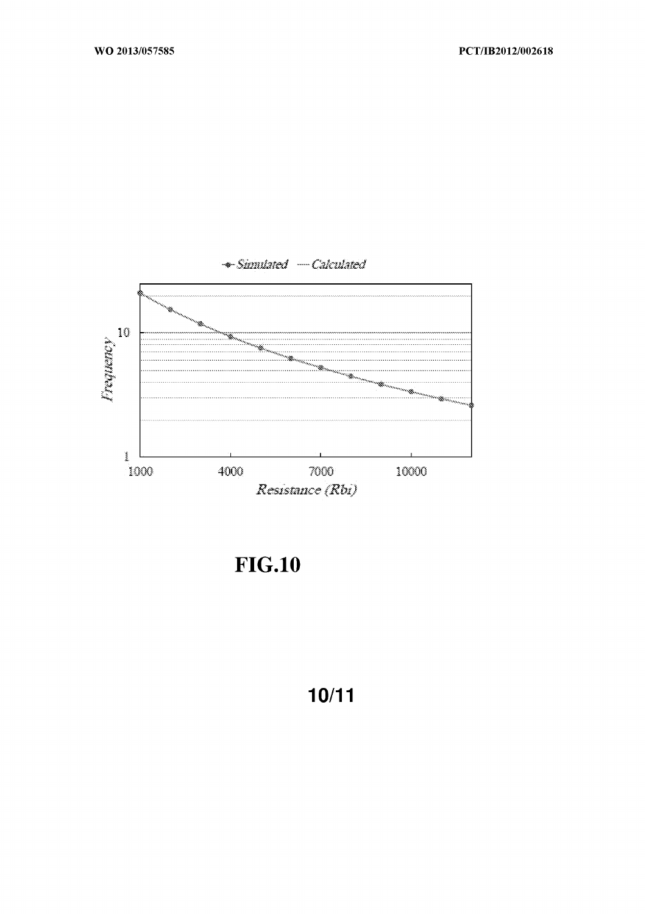

**FIG.10** 

 $10/11$